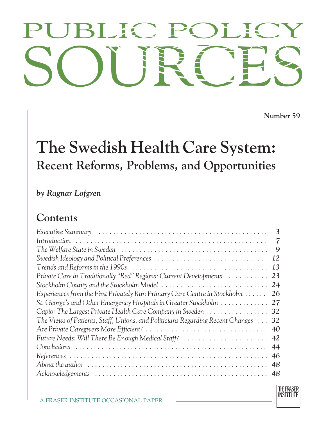# PUBLIC POLICY<br>SOURCES PUBLIC POLICY

**Number 59**

## **The Swedish Health Care System: Recent Reforms, Problems, and Opportunities**

*by Ragnar Lofgren*

### **Contents**

|                                                                                | 3  |
|--------------------------------------------------------------------------------|----|
|                                                                                | 7  |
|                                                                                | 9  |
|                                                                                | 12 |
|                                                                                | 13 |
| Private Care in Traditionally "Red" Regions: Current Developments              | 23 |
| Stockholm County and the Stockholm Model                                       | 24 |
| Experiences from the First Privately Run Primary Care Centre in Stockholm      | 26 |
| St. George's and Other Emergency Hospitals in Greater Stockholm                | 27 |
| Capio: The Largest Private Health Care Company in Sweden 32                    |    |
| The Views of Patients, Staff, Unions, and Politicians Regarding Recent Changes | 32 |
|                                                                                | 40 |
| Future Needs: Will There Be Enough Medical Staff?                              | 42 |
|                                                                                | 44 |
|                                                                                | 46 |
|                                                                                | 48 |
|                                                                                | 48 |
|                                                                                |    |

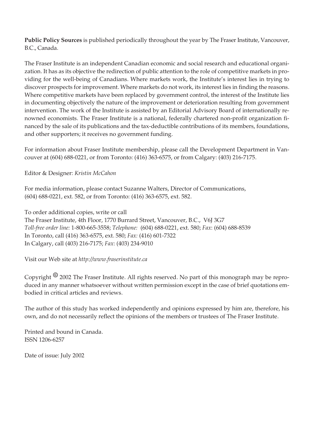**Public Policy Sources** is published periodically throughout the year by The Fraser Institute, Vancouver, B.C., Canada.

The Fraser Institute is an independent Canadian economic and social research and educational organization. It has as its objective the redirection of public attention to the role of competitive markets in providing for the well-being of Canadians. Where markets work, the Institute's interest lies in trying to discover prospects for improvement. Where markets do not work, its interest lies in finding the reasons. Where competitive markets have been replaced by government control, the interest of the Institute lies in documenting objectively the nature of the improvement or deterioration resulting from government intervention. The work of the Institute is assisted by an Editorial Advisory Board of internationally renowned economists. The Fraser Institute is a national, federally chartered non-profit organization financed by the sale of its publications and the tax-deductible contributions of its members, foundations, and other supporters; it receives no government funding.

For information about Fraser Institute membership, please call the Development Department in Vancouver at (604) 688-0221, or from Toronto: (416) 363-6575, or from Calgary: (403) 216-7175.

Editor & Designer: *Kristin McCahon*

For media information, please contact Suzanne Walters, Director of Communications, (604) 688-0221, ext. 582, or from Toronto: (416) 363-6575, ext. 582.

To order additional copies, write or call The Fraser Institute, 4th Floor, 1770 Burrard Street, Vancouver, B.C., V6J 3G7 *Toll-free order line:* 1-800-665-3558; *Telephone:* (604) 688-0221, ext. 580; *Fax*: (604) 688-8539 In Toronto, call (416) 363-6575, ext. 580; *Fax:* (416) 601-7322 In Calgary, call (403) 216-7175; *Fax*: (403) 234-9010

Visit our Web site at *http://www.fraserinstitute.ca*

Copyright *8* 2002 The Fraser Institute. All rights reserved. No part of this monograph may be reproduced in any manner whatsoever without written permission except in the case of brief quotations embodied in critical articles and reviews.

The author of this study has worked independently and opinions expressed by him are, therefore, his own, and do not necessarily reflect the opinions of the members or trustees of The Fraser Institute.

Printed and bound in Canada. ISSN 1206-6257

Date of issue: July 2002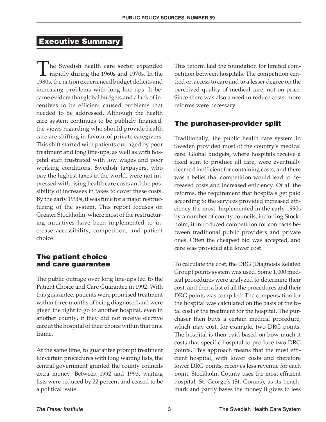#### **Executive Summary**

The Swedish health care sector expanded **1** rapidly during the 1960s and 1970s. In the 1980s, the nation experienced budget deficits and increasing problems with long line-ups. It became evident that global budgets and a lack of incentives to be efficient caused problems that needed to be addressed. Although the health care system continues to be publicly financed, the views regarding who should provide health care are shifting in favour of private caregivers. This shift started with patients outraged by poor treatment and long line-ups, as well as with hospital staff frustrated with low wages and poor working conditions. Swedish taxpayers, who pay the highest taxes in the world, were not impressed with rising health care costs and the possibility of increases in taxes to cover these costs. By the early 1990s, it was time for a major restructuring of the system. This report focuses on Greater Stockholm, where most of the restructuring initiatives have been implemented to increase accessibility, competition, and patient choice.

#### **The patient choice and care guarantee**

The public outrage over long line-ups led to the Patient Choice and Care Guarantee in 1992. With this guarantee, patients were promised treatment within three months of being diagnosed and were given the right to go to another hospital, even in another county, if they did not receive elective care at the hospital of their choice within that time frame.

At the same time, to guarantee prompt treatment for certain procedures with long waiting lists, the central government granted the county councils extra money. Between 1992 and 1993, waiting lists were reduced by 22 percent and ceased to be a political issue.

This reform laid the foundation for limited competition between hospitals. The competition centred on access to care and to a lesser degree on the perceived quality of medical care, not on price. Since there was also a need to reduce costs, more reforms were necessary.

#### **The purchaser-provider split**

Traditionally, the public health care system in Sweden provided most of the country's medical care. Global budgets, where hospitals receive a fixed sum to produce all care, were eventually deemed inefficient for containing costs, and there was a belief that competition would lead to decreased costs and increased efficiency. Of all the reforms, the requirement that hospitals get paid according to the services provided increased efficiency the most. Implemented in the early 1990s by a number of county councils, including Stockholm, it introduced competition for contracts between traditional public providers and private ones. Often the cheapest bid was accepted, and care was provided at a lower cost.

To calculate the cost, the DRG (Diagnosis Related Group) points system was used. Some 1,000 medical procedures were analyzed to determine their cost, and then a list of all the procedures and their DRG points was compiled. The compensation for the hospital was calculated on the basis of the total cost of the treatment for the hospital. The purchaser then buys a certain medical procedure, which may cost, for example, two DRG points. The hospital is then paid based on how much it costs that specific hospital to produce two DRG points. This approach means that the most efficient hospital, with lower costs and therefore lower DRG points, receives less revenue for each point. Stockholm County uses the most efficient hospital, St. George's (St. Gorans), as its benchmark and partly bases the money it gives to less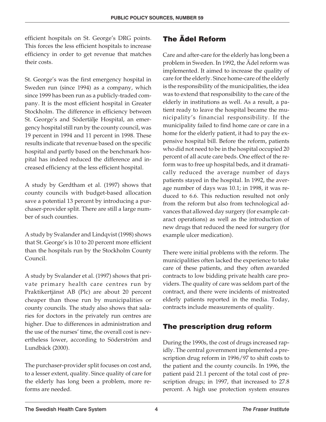efficient hospitals on St. George's DRG points. This forces the less efficient hospitals to increase efficiency in order to get revenue that matches their costs.

St. George's was the first emergency hospital in Sweden run (since 1994) as a company, which since 1999 has been run as a publicly-traded company. It is the most efficient hospital in Greater Stockholm. The difference in efficiency between St. George's and Södertälje Hospital, an emergency hospital still run by the county council, was 19 percent in 1994 and 11 percent in 1998. These results indicate that revenue based on the specific hospital and partly based on the benchmark hospital has indeed reduced the difference and increased efficiency at the less efficient hospital.

A study by Gerdtham et al. (1997) shows that county councils with budget-based allocation save a potential 13 percent by introducing a purchaser-provider split. There are still a large number of such counties.

A study by Svalander and Lindqvist (1998) shows that St. George's is 10 to 20 percent more efficient than the hospitals run by the Stockholm County Council.

A study by Svalander et al. (1997) shows that private primary health care centres run by Praktikertjänst AB (Plc) are about 20 percent cheaper than those run by municipalities or county councils. The study also shows that salaries for doctors in the privately run centres are higher. Due to differences in administration and the use of the nurses' time, the overall cost is nevertheless lower, according to Söderström and Lundbäck (2000).

The purchaser-provider split focuses on cost and, to a lesser extent, quality. Since quality of care for the elderly has long been a problem, more reforms are needed.

#### **The Ädel Reform**

Care and after-care for the elderly has long been a problem in Sweden. In 1992, the Ädel reform was implemented. It aimed to increase the quality of care for the elderly. Since home-care of the elderly is the responsibility of the municipalities, the idea was to extend that responsibility to the care of the elderly in institutions as well. As a result, a patient ready to leave the hospital became the municipality's financial responsibility. If the municipality failed to find home care or care in a home for the elderly patient, it had to pay the expensive hospital bill. Before the reform, patients who did not need to be in the hospital occupied 20 percent of all acute care beds. One effect of the reform was to free up hospital beds, and it dramatically reduced the average number of days patients stayed in the hospital. In 1992, the average number of days was 10.1; in 1998, it was reduced to 6.6. This reduction resulted not only from the reform but also from technological advances that allowed day surgery (for example cataract operations) as well as the introduction of new drugs that reduced the need for surgery (for example ulcer medication).

There were initial problems with the reform. The municipalities often lacked the experience to take care of these patients, and they often awarded contracts to low bidding private health care providers. The quality of care was seldom part of the contract, and there were incidents of mistreated elderly patients reported in the media. Today, contracts include measurements of quality.

#### **The prescription drug reform**

During the 1990s, the cost of drugs increased rapidly. The central government implemented a prescription drug reform in 1996/97 to shift costs to the patient and the county councils. In 1996, the patient paid 21.1 percent of the total cost of prescription drugs; in 1997, that increased to 27.8 percent. A high use protection system ensures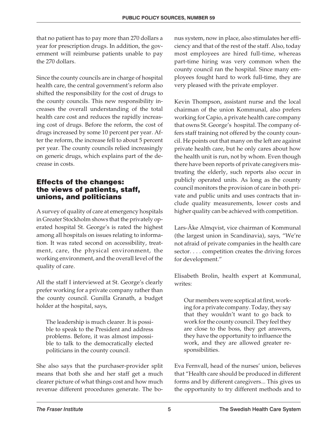that no patient has to pay more than 270 dollars a year for prescription drugs. In addition, the government will reimburse patients unable to pay the 270 dollars.

Since the county councils are in charge of hospital health care, the central government's reform also shifted the responsibility for the cost of drugs to the county councils. This new responsibility increases the overall understanding of the total health care cost and reduces the rapidly increasing cost of drugs. Before the reform, the cost of drugs increased by some 10 percent per year. After the reform, the increase fell to about 5 percent per year. The county councils relied increasingly on generic drugs, which explains part of the decrease in costs.

#### **Effects of the changes: the views of patients, staff, unions, and politicians**

A survey of quality of care at emergency hospitals in Greater Stockholm shows that the privately operated hospital St. George's is rated the highest among all hospitals on issues relating to information. It was rated second on accessibility, treatment, care, the physical environment, the working environment, and the overall level of the quality of care.

All the staff I interviewed at St. George's clearly prefer working for a private company rather than the county council. Gunilla Granath, a budget holder at the hospital, says,

The leadership is much clearer. It is possible to speak to the President and address problems. Before, it was almost impossible to talk to the democratically elected politicians in the county council.

She also says that the purchaser-provider split means that both she and her staff get a much clearer picture of what things cost and how much revenue different procedures generate. The bonus system, now in place, also stimulates her efficiency and that of the rest of the staff. Also, today most employees are hired full-time, whereas part-time hiring was very common when the county council ran the hospital. Since many employees fought hard to work full-time, they are very pleased with the private employer.

Kevin Thompson, assistant nurse and the local chairman of the union Kommunal, also prefers working for Capio, a private health care company that owns St. George's hospital. The company offers staff training not offered by the county council. He points out that many on the left are against private health care, but he only cares about how the health unit is run, not by whom. Even though there have been reports of private caregivers mistreating the elderly, such reports also occur in publicly operated units. As long as the county council monitors the provision of care in both private and public units and uses contracts that include quality measurements, lower costs and higher quality can be achieved with competition.

Lars-Åke Almqvist, vice chairman of Kommunal (the largest union in Scandinavia), says, "We're not afraid of private companies in the health care sector.... competition creates the driving forces for development."

Elisabeth Brolin, health expert at Kommunal, writes:

Our members were sceptical at first, working for a private company. Today, they say that they wouldn't want to go back to work for the county council. They feel they are close to the boss, they get answers, they have the opportunity to influence the work, and they are allowed greater responsibilities.

Eva Fernvall, head of the nurses' union, believes that "Health care should be produced in different forms and by different caregivers... This gives us the opportunity to try different methods and to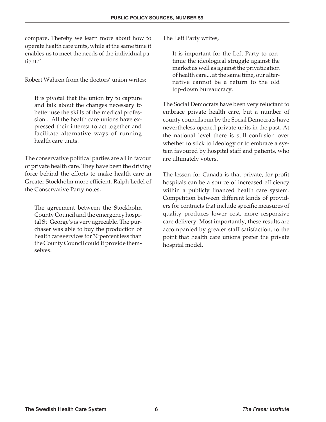compare. Thereby we learn more about how to operate health care units, while at the same time it enables us to meet the needs of the individual patient."

Robert Wahren from the doctors' union writes:

It is pivotal that the union try to capture and talk about the changes necessary to better use the skills of the medical profession... All the health care unions have expressed their interest to act together and facilitate alternative ways of running health care units.

The conservative political parties are all in favour of private health care. They have been the driving force behind the efforts to make health care in Greater Stockholm more efficient. Ralph Ledel of the Conservative Party notes,

The agreement between the Stockholm County Council and the emergency hospital St. George's is very agreeable. The purchaser was able to buy the production of health care services for 30 percent less than the County Council could it provide themselves.

The Left Party writes,

It is important for the Left Party to continue the ideological struggle against the market as well as against the privatization of health care... at the same time, our alternative cannot be a return to the old top-down bureaucracy.

The Social Democrats have been very reluctant to embrace private health care, but a number of county councils run by the Social Democrats have nevertheless opened private units in the past. At the national level there is still confusion over whether to stick to ideology or to embrace a system favoured by hospital staff and patients, who are ultimately voters.

The lesson for Canada is that private, for-profit hospitals can be a source of increased efficiency within a publicly financed health care system. Competition between different kinds of providers for contracts that include specific measures of quality produces lower cost, more responsive care delivery. Most importantly, these results are accompanied by greater staff satisfaction, to the point that health care unions prefer the private hospital model.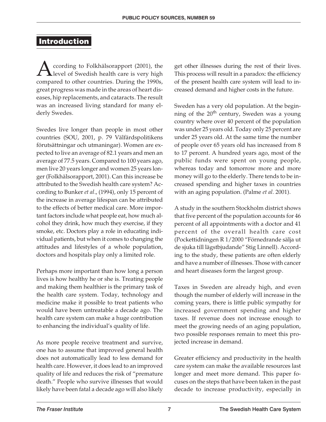#### **Introduction**

According to Folkhälsorapport (2001), the<br>level of Swedish health care is very high<br>compared to other countries. During the 1990s level of Swedish health care is very high compared to other countries. During the 1990s, great progress was made in the areas of heart diseases, hip replacements, and cataracts. The result was an increased living standard for many elderly Swedes.

Swedes live longer than people in most other countries (SOU, 2001, p. 79 Välfärdspolitikens förutsättningar och utmaningar). Women are expected to live an average of 82.1 years and men an average of 77.5 years. Compared to 100 years ago, men live 20 years longer and women 25 years longer (Folkhälsorapport, 2001). Can this increase be attributed to the Swedish health care system? According to Bunker *et al*., (1994), only 15 percent of the increase in average lifespan can be attributed to the effects of better medical care. More important factors include what people eat, how much alcohol they drink, how much they exercise, if they smoke, etc. Doctors play a role in educating individual patients, but when it comes to changing the attitudes and lifestyles of a whole population, doctors and hospitals play only a limited role.

Perhaps more important than how long a person lives is how healthy he or she is. Treating people and making them healthier is the primary task of the health care system. Today, technology and medicine make it possible to treat patients who would have been untreatable a decade ago. The health care system can make a huge contribution to enhancing the individual's quality of life.

As more people receive treatment and survive, one has to assume that improved general health does not automatically lead to less demand for health care. However, it does lead to an improved quality of life and reduces the risk of "premature death." People who survive illnesses that would likely have been fatal a decade ago will also likely get other illnesses during the rest of their lives. This process will result in a paradox: the efficiency of the present health care system will lead to increased demand and higher costs in the future.

Sweden has a very old population. At the beginning of the 20<sup>th</sup> century, Sweden was a young country where over 40 percent of the population was under 25 years old. Today only 25 percent are under 25 years old. At the same time the number of people over 65 years old has increased from 8 to 17 percent. A hundred years ago, most of the public funds were spent on young people, whereas today and tomorrow more and more money will go to the elderly. There tends to be increased spending and higher taxes in countries with an aging population. (Palme *et al.* 2001).

A study in the southern Stockholm district shows that five percent of the population accounts for 46 percent of all appointments with a doctor and 41 percent of the overall health care cost (Pockettidningen R 1/2000 "Förnedrande sälja ut de sjuka till lägstbjudande" Stig Linnell). According to the study, these patients are often elderly and have a number of illnesses. Those with cancer and heart diseases form the largest group.

Taxes in Sweden are already high, and even though the number of elderly will increase in the coming years, there is little public sympathy for increased government spending and higher taxes. If revenue does not increase enough to meet the growing needs of an aging population, two possible responses remain to meet this projected increase in demand.

Greater efficiency and productivity in the health care system can make the available resources last longer and meet more demand. This paper focuses on the steps that have been taken in the past decade to increase productivity, especially in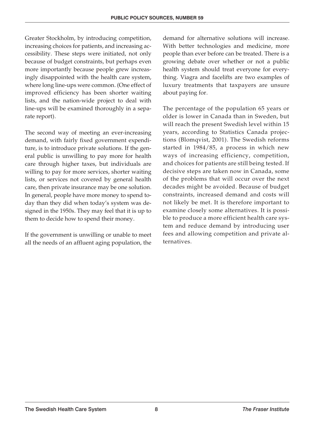Greater Stockholm, by introducing competition, increasing choices for patients, and increasing accessibility. These steps were initiated, not only because of budget constraints, but perhaps even more importantly because people grew increasingly disappointed with the health care system, where long line-ups were common. (One effect of improved efficiency has been shorter waiting lists, and the nation-wide project to deal with line-ups will be examined thoroughly in a separate report).

The second way of meeting an ever-increasing demand, with fairly fixed government expenditure, is to introduce private solutions. If the general public is unwilling to pay more for health care through higher taxes, but individuals are willing to pay for more services, shorter waiting lists, or services not covered by general health care, then private insurance may be one solution. In general, people have more money to spend today than they did when today's system was designed in the 1950s. They may feel that it is up to them to decide how to spend their money.

If the government is unwilling or unable to meet all the needs of an affluent aging population, the

demand for alternative solutions will increase. With better technologies and medicine, more people than ever before can be treated. There is a growing debate over whether or not a public health system should treat everyone for everything. Viagra and facelifts are two examples of luxury treatments that taxpayers are unsure about paying for.

The percentage of the population 65 years or older is lower in Canada than in Sweden, but will reach the present Swedish level within 15 years, according to Statistics Canada projections (Blomqvist, 2001). The Swedish reforms started in 1984/85, a process in which new ways of increasing efficiency, competition, and choices for patients are still being tested. If decisive steps are taken now in Canada, some of the problems that will occur over the next decades might be avoided. Because of budget constraints, increased demand and costs will not likely be met. It is therefore important to examine closely some alternatives. It is possible to produce a more efficient health care system and reduce demand by introducing user fees and allowing competition and private alternatives.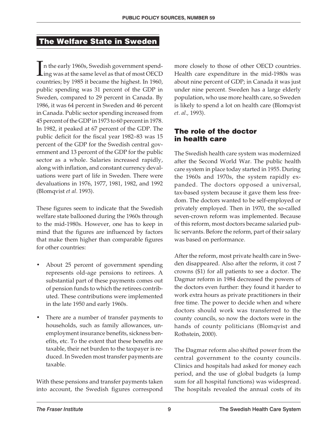#### **The Welfare State in Sweden**

I n the early 1960s, Swedish government spending was at the same level as that of most OECD countries; by 1985 it became the highest. In 1960, public spending was 31 percent of the GDP in Sweden, compared to 29 percent in Canada. By 1986, it was 64 percent in Sweden and 46 percent in Canada. Public sector spending increased from 45 percent of the GDP in 1973 to 60 percent in 1978. In 1982, it peaked at 67 percent of the GDP. The public deficit for the fiscal year 1982–83 was 15 percent of the GDP for the Swedish central government and 13 percent of the GDP for the public sector as a whole. Salaries increased rapidly, along with inflation, and constant currency devaluations were part of life in Sweden. There were devaluations in 1976, 1977, 1981, 1982, and 1992 (Blomqvist *et al.* 1993).

These figures seem to indicate that the Swedish welfare state ballooned during the 1960s through to the mid-1980s. However, one has to keep in mind that the figures are influenced by factors that make them higher than comparable figures for other countries:

- About 25 percent of government spending represents old-age pensions to retirees. A substantial part of these payments comes out of pension funds to which the retirees contributed. These contributions were implemented in the late 1950 and early 1960s.
- There are a number of transfer payments to households, such as family allowances, unemployment insurance benefits, sickness benefits, etc. To the extent that these benefits are taxable, their net burden to the taxpayer is reduced. In Sweden most transfer payments are taxable.

With these pensions and transfer payments taken into account, the Swedish figures correspond

more closely to those of other OECD countries. Health care expenditure in the mid-1980s was about nine percent of GDP; in Canada it was just under nine percent. Sweden has a large elderly population, who use more health care, so Sweden is likely to spend a lot on health care (Blomqvist *et. al.,* 1993).

#### **The role of the doctor in health care**

The Swedish health care system was modernized after the Second World War. The public health care system in place today started in 1955. During the 1960s and 1970s, the system rapidly expanded. The doctors opposed a universal, tax-based system because it gave them less freedom. The doctors wanted to be self-employed or privately employed. Then in 1970, the so-called seven-crown reform was implemented. Because of this reform, most doctors became salaried public servants. Before the reform, part of their salary was based on performance.

After the reform, most private health care in Sweden disappeared. Also after the reform, it cost 7 crowns (\$1) for all patients to see a doctor. The Dagmar reform in 1984 decreased the powers of the doctors even further: they found it harder to work extra hours as private practitioners in their free time. The power to decide when and where doctors should work was transferred to the county councils, so now the doctors were in the hands of county politicians (Blomqvist and Rothstein, 2000).

The Dagmar reform also shifted power from the central government to the county councils. Clinics and hospitals had asked for money each period, and the use of global budgets (a lump sum for all hospital functions) was widespread. The hospitals revealed the annual costs of its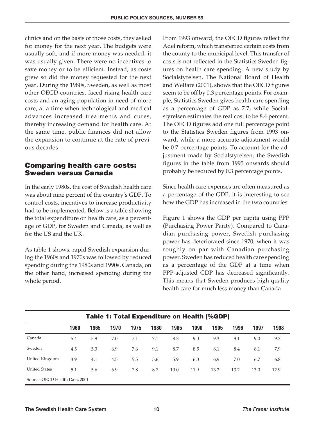clinics and on the basis of those costs, they asked for money for the next year. The budgets were usually soft, and if more money was needed, it was usually given. There were no incentives to save money or to be efficient. Instead, as costs grew so did the money requested for the next year. During the 1980s, Sweden, as well as most other OECD countries, faced rising health care costs and an aging population in need of more care, at a time when technological and medical advances increased treatments and cures, thereby increasing demand for health care. At the same time, public finances did not allow the expansion to continue at the rate of previous decades.

#### **Comparing health care costs: Sweden versus Canada**

In the early 1980s, the cost of Swedish health care was about nine percent of the country's GDP. To control costs, incentives to increase productivity had to be implemented. Below is a table showing the total expenditure on health care, as a percentage of GDP, for Sweden and Canada, as well as for the US and the UK.

As table 1 shows, rapid Swedish expansion during the 1960s and 1970s was followed by reduced spending during the 1980s and 1990s. Canada, on the other hand, increased spending during the whole period.

From 1993 onward, the OECD figures reflect the Ädel reform, which transferred certain costs from the county to the municipal level. This transfer of costs is not reflected in the Statistics Sweden figures on health care spending. A new study by Socialstyrelsen, The National Board of Health and Welfare (2001), shows that the OECD figures seem to be off by 0.3 percentage points. For example, Statistics Sweden gives health care spending as a percentage of GDP as 7.7, while Socialstyrelsen estimates the real cost to be 8.4 percent. The OECD figures add one full percentage point to the Statistics Sweden figures from 1993 onward, while a more accurate adjustment would be 0.7 percentage points. To account for the adjustment made by Socialstyrelsen, the Swedish figures in the table from 1995 onwards should probably be reduced by 0.3 percentage points.

Since health care expenses are often measured as a percentage of the GDP, it is interesting to see how the GDP has increased in the two countries.

Figure 1 shows the GDP per capita using PPP (Purchasing Power Parity). Compared to Canadian purchasing power, Swedish purchasing power has deteriorated since 1970, when it was roughly on par with Canadian purchasing power. Sweden has reduced health care spending as a percentage of the GDP at a time when PPP-adjusted GDP has decreased significantly. This means that Sweden produces high-quality health care for much less money than Canada.

| <b>Table 1: Total Expenditure on Health (%GDP)</b> |      |      |      |      |      |      |      |      |      |      |      |
|----------------------------------------------------|------|------|------|------|------|------|------|------|------|------|------|
|                                                    | 1960 | 1965 | 1970 | 1975 | 1980 | 1985 | 1990 | 1995 | 1996 | 1997 | 1998 |
| Canada                                             | 5.4  | 5.9  | 7.0  | 7.1  | 7.1  | 8.3  | 9.0  | 9.3  | 9.1  | 9.0  | 9.3  |
| Sweden                                             | 4.5  | 5.3  | 6.9  | 7.6  | 9.1  | 8.7  | 8.5  | 8.1  | 8.4  | 8.1  | 7.9  |
| United Kingdom                                     | 3.9  | 4.1  | 4.5  | 5.5  | 5.6  | 5.9  | 6.0  | 6.9  | 7.0  | 6.7  | 6.8  |
| <b>United States</b>                               | 5.1  | 5.6  | 6.9  | 7.8  | 8.7  | 10.0 | 11.9 | 13.2 | 13.2 | 13.0 | 12.9 |
| Source: OECD Health Data, 2001.                    |      |      |      |      |      |      |      |      |      |      |      |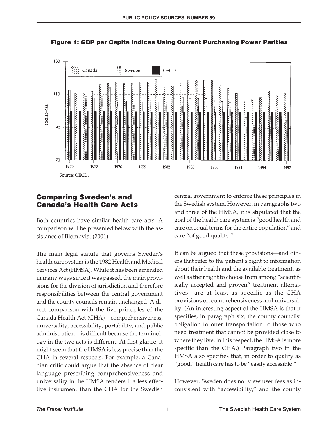

**Figure 1: GDP per Capita Indices Using Current Purchasing Power Parities**

#### **Comparing Sweden's and Canada's Health Care Acts**

Both countries have similar health care acts. A comparison will be presented below with the assistance of Blomqvist (2001).

The main legal statute that governs Sweden's health care system is the 1982 Health and Medical Services Act (HMSA). While it has been amended in many ways since it was passed, the main provisions for the division of jurisdiction and therefore responsibilities between the central government and the county councils remain unchanged. A direct comparison with the five principles of the Canada Health Act (CHA)—comprehensiveness, universality, accessibility, portability, and public administration—is difficult because the terminology in the two acts is different. At first glance, it might seem that the HMSA is less precise than the CHA in several respects. For example, a Canadian critic could argue that the absence of clear language prescribing comprehensiveness and universality in the HMSA renders it a less effective instrument than the CHA for the Swedish central government to enforce these principles in the Swedish system. However, in paragraphs two and three of the HMSA, it is stipulated that the goal of the health care system is "good health and care on equal terms for the entire population" and care "of good quality."

It can be argued that these provisions—and others that refer to the patient's right to information about their health and the available treatment, as well as their right to choose from among "scientifically accepted and proven" treatment alternatives—are at least as specific as the CHA provisions on comprehensiveness and universality. (An interesting aspect of the HMSA is that it specifies, in paragraph six, the county councils' obligation to offer transportation to those who need treatment that cannot be provided close to where they live. In this respect, the HMSA is more specific than the CHA.) Paragraph two in the HMSA also specifies that, in order to qualify as "good," health care has to be "easily accessible."

However, Sweden does not view user fees as inconsistent with "accessibility," and the county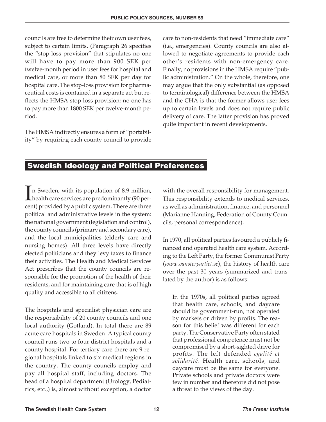councils are free to determine their own user fees, subject to certain limits. (Paragraph 26 specifies the "stop-loss provision" that stipulates no one will have to pay more than 900 SEK per twelve-month period in user fees for hospital and medical care, or more than 80 SEK per day for hospital care. The stop-loss provision for pharmaceutical costs is contained in a separate act but reflects the HMSA stop-loss provision: no one has to pay more than 1800 SEK per twelve-month period.

The HMSA indirectly ensures a form of "portability" by requiring each county council to provide care to non-residents that need "immediate care" (i.e., emergencies). County councils are also allowed to negotiate agreements to provide each other's residents with non-emergency care. Finally, no provisions in the HMSA require "public administration." On the whole, therefore, one may argue that the only substantial (as opposed to terminological) difference between the HMSA and the CHA is that the former allows user fees up to certain levels and does not require public delivery of care. The latter provision has proved quite important in recent developments.

#### **Swedish Ideology and Political Preferences**

 $\prod_{\alpha\in\mathbb{Z}}$ n Sweden, with its population of 8.9 million, health care services are predominantly (90 percent) provided by a public system. There are three political and administrative levels in the system: the national government (legislation and control), the county councils (primary and secondary care), and the local municipalities (elderly care and nursing homes). All three levels have directly elected politicians and they levy taxes to finance their activities. The Health and Medical Services Act prescribes that the county councils are responsible for the promotion of the health of their residents, and for maintaining care that is of high quality and accessible to all citizens.

The hospitals and specialist physician care are the responsibility of 20 county councils and one local authority (Gotland). In total there are 89 acute care hospitals in Sweden. A typical county council runs two to four district hospitals and a county hospital. For tertiary care there are 9 regional hospitals linked to six medical regions in the country. The county councils employ and pay all hospital staff, including doctors. The head of a hospital department (Urology, Pediatrics, etc.,) is, almost without exception, a doctor

with the overall responsibility for management. This responsibility extends to medical services, as well as administration, finance, and personnel (Marianne Hanning, Federation of County Councils, personal correspondence).

In 1970, all political parties favoured a publicly financed and operated health care system. According to the Left Party, the former Communist Party (*www.vansterpartiet.se*), the history of health care over the past 30 years (summarized and translated by the author) is as follows:

In the 1970s, all political parties agreed that health care, schools, and daycare should be government-run, not operated by markets or driven by profits. The reason for this belief was different for each party. The Conservative Party often stated that professional competence must not be compromised by a short-sighted drive for profits. The left defended *egalité et solidarité*. Health care, schools, and daycare must be the same for everyone. Private schools and private doctors were few in number and therefore did not pose a threat to the views of the day.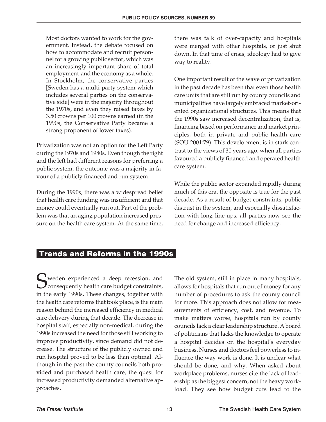Most doctors wanted to work for the government. Instead, the debate focused on how to accommodate and recruit personnel for a growing public sector, which was an increasingly important share of total employment and the economy as a whole. In Stockholm, the conservative parties [Sweden has a multi-party system which includes several parties on the conservative side] were in the majority throughout the 1970s, and even they raised taxes by 3.50 crowns per 100 crowns earned (in the 1990s, the Conservative Party became a strong proponent of lower taxes).

Privatization was not an option for the Left Party during the 1970s and 1980s. Even though the right and the left had different reasons for preferring a public system, the outcome was a majority in favour of a publicly financed and run system.

During the 1990s, there was a widespread belief that health care funding was insufficient and that money could eventually run out. Part of the problem was that an aging population increased pressure on the health care system. At the same time, there was talk of over-capacity and hospitals were merged with other hospitals, or just shut down. In that time of crisis, ideology had to give way to reality.

One important result of the wave of privatization in the past decade has been that even those health care units that are still run by county councils and municipalities have largely embraced market-oriented organizational structures. This means that the 1990s saw increased decentralization, that is, financing based on performance and market principles, both in private and public health care (SOU 2001:79). This development is in stark contrast to the views of 30 years ago, when all parties favoured a publicly financed and operated health care system.

While the public sector expanded rapidly during much of this era, the opposite is true for the past decade. As a result of budget constraints, public distrust in the system, and especially dissatisfaction with long line-ups, all parties now see the need for change and increased efficiency.

#### **Trends and Reforms in the 1990s**

Sweden experienced a deep recession, and<br>consequently health care budget constraints, consequently health care budget constraints, in the early 1990s. These changes, together with the health care reforms that took place, is the main reason behind the increased efficiency in medical care delivery during that decade. The decrease in hospital staff, especially non-medical, during the 1990s increased the need for those still working to improve productivity, since demand did not decrease. The structure of the publicly owned and run hospital proved to be less than optimal. Although in the past the county councils both provided and purchased health care, the quest for increased productivity demanded alternative approaches.

The old system, still in place in many hospitals, allows for hospitals that run out of money for any number of procedures to ask the county council for more. This approach does not allow for measurements of efficiency, cost, and revenue. To make matters worse, hospitals run by county councils lack a clear leadership structure. A board of politicians that lacks the knowledge to operate a hospital decides on the hospital's everyday business. Nurses and doctors feel powerless to influence the way work is done. It is unclear what should be done, and why. When asked about workplace problems, nurses cite the lack of leadership as the biggest concern, not the heavy workload. They see how budget cuts lead to the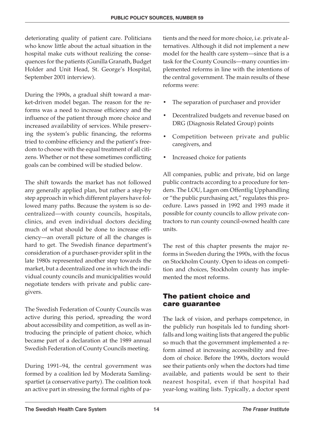deteriorating quality of patient care. Politicians who know little about the actual situation in the hospital make cuts without realizing the consequences for the patients (Gunilla Granath, Budget Holder and Unit Head, St. George's Hospital, September 2001 interview).

During the 1990s, a gradual shift toward a market-driven model began. The reason for the reforms was a need to increase efficiency and the influence of the patient through more choice and increased availability of services. While preserving the system's public financing, the reforms tried to combine efficiency and the patient's freedom to choose with the equal treatment of all citizens. Whether or not these sometimes conflicting goals can be combined will be studied below.

The shift towards the market has not followed any generally applied plan, but rather a step-by step approach in which different players have followed many paths. Because the system is so decentralized—with county councils, hospitals, clinics, and even individual doctors deciding much of what should be done to increase efficiency—an overall picture of all the changes is hard to get. The Swedish finance department's consideration of a purchaser-provider split in the late 1980s represented another step towards the market, but a decentralized one in which the individual county councils and municipalities would negotiate tenders with private and public caregivers.

The Swedish Federation of County Councils was active during this period, spreading the word about accessibility and competition, as well as introducing the principle of patient choice, which became part of a declaration at the 1989 annual Swedish Federation of County Councils meeting.

During 1991–94, the central government was formed by a coalition led by Moderata Samlingspartiet (a conservative party). The coalition took an active part in stressing the formal rights of pa-

tients and the need for more choice, i.e. private alternatives. Although it did not implement a new model for the health care system—since that is a task for the County Councils—many counties implemented reforms in line with the intentions of the central government. The main results of these reforms were:

- The separation of purchaser and provider
- Decentralized budgets and revenue based on DRG (Diagnosis Related Group) points
- Competition between private and public caregivers, and
- Increased choice for patients

All companies, public and private, bid on large public contracts according to a procedure for tenders. The LOU, Lagen om Offentlig Upphandling or "the public purchasing act," regulates this procedure. Laws passed in 1992 and 1993 made it possible for county councils to allow private contractors to run county council-owned health care units.

The rest of this chapter presents the major reforms in Sweden during the 1990s, with the focus on Stockholm County. Open to ideas on competition and choices, Stockholm county has implemented the most reforms.

#### **The patient choice and care guarantee**

The lack of vision, and perhaps competence, in the publicly run hospitals led to funding shortfalls and long waiting lists that angered the public so much that the government implemented a reform aimed at increasing accessibility and freedom of choice. Before the 1990s, doctors would see their patients only when the doctors had time available, and patients would be sent to their nearest hospital, even if that hospital had year-long waiting lists. Typically, a doctor spent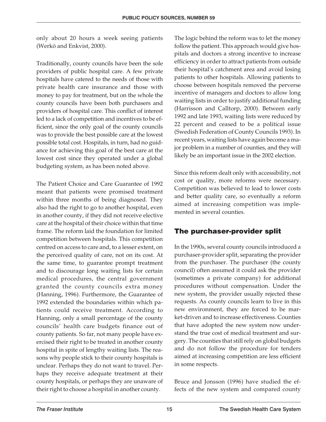only about 20 hours a week seeing patients (Werkö and Enkvist, 2000).

Traditionally, county councils have been the sole providers of public hospital care. A few private hospitals have catered to the needs of those with private health care insurance and those with money to pay for treatment, but on the whole the county councils have been both purchasers and providers of hospital care. This conflict of interest led to a lack of competition and incentives to be efficient, since the only goal of the county councils was to provide the best possible care at the lowest possible total cost. Hospitals, in turn, had no guidance for achieving this goal of the best care at the lowest cost since they operated under a global budgeting system, as has been noted above.

The Patient Choice and Care Guarantee of 1992 meant that patients were promised treatment within three months of being diagnosed. They also had the right to go to another hospital, even in another county, if they did not receive elective care at the hospital of their choice within that time frame. The reform laid the foundation for limited competition between hospitals. This competition centred on access to care and, to a lesser extent, on the perceived quality of care, not on its cost. At the same time, to guarantee prompt treatment and to discourage long waiting lists for certain medical procedures, the central government granted the county councils extra money (Hanning, 1996). Furthermore, the Guarantee of 1992 extended the boundaries within which patients could receive treatment. According to Hanning, only a small percentage of the county councils' health care budgets finance out of county patients. So far, not many people have exercised their right to be treated in another county hospital in spite of lengthy waiting lists. The reasons why people stick to their county hospitals is unclear. Perhaps they do not want to travel. Perhaps they receive adequate treatment at their county hospitals, or perhaps they are unaware of their right to choose a hospital in another county.

The logic behind the reform was to let the money follow the patient. This approach would give hospitals and doctors a strong incentive to increase efficiency in order to attract patients from outside their hospital's catchment area and avoid losing patients to other hospitals. Allowing patients to choose between hospitals removed the perverse incentive of managers and doctors to allow long waiting lists in order to justify additional funding (Harrisson and Calltorp, 2000). Between early 1992 and late 1993, waiting lists were reduced by 22 percent and ceased to be a political issue (Swedish Federation of County Councils 1993). In recent years, waiting lists have again become a major problem in a number of counties, and they will likely be an important issue in the 2002 election.

Since this reform dealt only with accessibility, not cost or quality, more reforms were necessary. Competition was believed to lead to lower costs and better quality care, so eventually a reform aimed at increasing competition was implemented in several counties.

#### **The purchaser-provider split**

In the 1990s, several county councils introduced a purchaser-provider split, separating the provider from the purchaser. The purchaser (the county council) often assumed it could ask the provider (sometimes a private company) for additional procedures without compensation. Under the new system, the provider usually rejected these requests. As county councils learn to live in this new environment, they are forced to be market-driven and to increase effectiveness. Counties that have adopted the new system now understand the true cost of medical treatment and surgery. The counties that still rely on global budgets and do not follow the procedure for tenders aimed at increasing competition are less efficient in some respects.

Bruce and Jonsson (1996) have studied the effects of the new system and compared county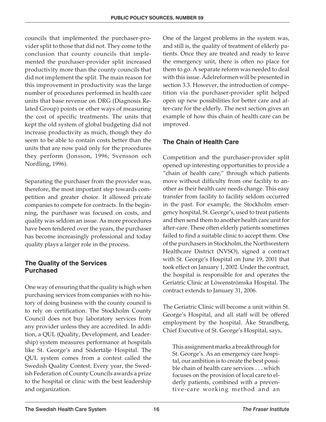councils that implemented the purchaser-provider split to those that did not. They come to the conclusion that county councils that implemented the purchaser-provider split increased productivity more than the county councils that did not implement the split. The main reason for this improvement in productivity was the large number of procedures performed in health care units that base revenue on DRG (Diagnosis Related Group) points or other ways of measuring the cost of specific treatments. The units that kept the old system of global budgeting did not increase productivity as much, though they do seem to be able to contain costs better than the units that are now paid only for the procedures they perform (Jonsson, 1996; Svensson och Nordling, 1996).

Separating the purchaser from the provider was, therefore, the most important step towards competition and greater choice. It allowed private companies to compete for contracts. In the beginning, the purchaser was focused on costs, and quality was seldom an issue. As more procedures have been tendered over the years, the purchaser has become increasingly professional and today quality plays a larger role in the process.

#### **The Quality of the Services Purchased**

One way of ensuring that the quality is high when purchasing services from companies with no history of doing business with the county council is to rely on certification. The Stockholm County Council does not buy laboratory services from any provider unless they are accredited. In addition, a QUL (Quality, Development, and Leadership) system measures performance at hospitals like St. George's and Södertälje Hospital. The QUL system comes from a contest called the Swedish Quality Contest. Every year, the Swedish Federation of County Councils awards a prize to the hospital or clinic with the best leadership and organization.

One of the largest problems in the system was, and still is, the quality of treatment of elderly patients. Once they are treated and ready to leave the emergency unit, there is often no place for them to go. A separate reform was needed to deal with this issue. Ädelreformen will be presented in section 3.3. However, the introduction of competition via the purchaser-provider split helped open up new possibilities for better care and after-care for the elderly. The next section gives an example of how this chain of health care can be improved.

#### **The Chain of Health Care**

Competition and the purchaser-provider split opened up interesting opportunities to provide a "chain of health care," through which patients move without difficulty from one facility to another as their health care needs change. This easy transfer from facility to facility seldom occurred in the past. For example, the Stockholm emergency hospital, St. George's, used to treat patients and then send them to another health care unit for after-care. These often elderly patients sometimes failed to find a suitable clinic to accept them. One of the purchasers in Stockholm, the Northwestern Healthcare District (NVSO), signed a contract with St. George's Hospital on June 19, 2001 that took effect on January 1, 2002. Under the contract, the hospital is responsible for and operates the Geriatric Clinic at Löwenströmska Hospital. The contract extends to January 31, 2006.

The Geriatric Clinic will become a unit within St. George's Hospital, and all staff will be offered employment by the hospital. Åke Strandberg, Chief Executive of St. George's Hospital, says,

This assignment marks a breakthrough for St. George's. As an emergency care hospital, our ambition is to create the best possible chain of health care services... which focuses on the provision of local care to elderly patients, combined with a preventive-care working method and an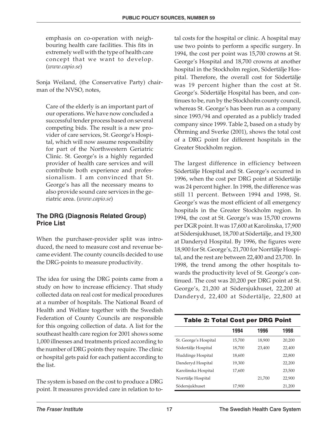emphasis on co-operation with neighbouring health care facilities. This fits in extremely well with the type of health care concept that we want to develop. (*www.capio.se*)

Sonja Weiland, (the Conservative Party) chairman of the NVSO, notes,

Care of the elderly is an important part of our operations. We have now concluded a successful tender process based on several competing bids. The result is a new provider of care services, St. George's Hospital, which will now assume responsibility for part of the Northwestern Geriatric Clinic. St. George's is a highly regarded provider of health care services and will contribute both experience and professionalism. I am convinced that St. George's has all the necessary means to also provide sound care services in the geriatric area. (*www.capio.se*)

#### **The DRG (Diagnosis Related Group) Price List**

When the purchaser-provider split was introduced, the need to measure cost and revenue became evident. The county councils decided to use the DRG-points to measure productivity.

The idea for using the DRG points came from a study on how to increase efficiency. That study collected data on real cost for medical procedures at a number of hospitals. The National Board of Health and Welfare together with the Swedish Federation of County Councils are responsible for this ongoing collection of data. A list for the southeast health care region for 2001 shows some 1,000 illnesses and treatments priced according to the number of DRG points they require. The clinic or hospital gets paid for each patient according to the list.

The system is based on the cost to produce a DRG point. It measures provided care in relation to total costs for the hospital or clinic. A hospital may use two points to perform a specific surgery. In 1994, the cost per point was 15,700 crowns at St. George's Hospital and 18,700 crowns at another hospital in the Stockholm region, Södertälje Hospital. Therefore, the overall cost for Södertälje was 19 percent higher than the cost at St. George's. Södertälje Hospital has been, and continues to be, run by the Stockholm county council, whereas St. George's has been run as a company since 1993/94 and operated as a publicly traded company since 1999. Table 2, based on a study by Öhrming and Sverke (2001), shows the total cost of a DRG point for different hospitals in the Greater Stockholm region.

The largest difference in efficiency between Södertälje Hospital and St. George's occurred in 1996, when the cost per DRG point at Södertälje was 24 percent higher. In 1998, the difference was still 11 percent. Between 1994 and 1998, St. George's was the most efficient of all emergency hospitals in the Greater Stockholm region. In 1994, the cost at St. George's was 15,700 crowns per DGR point. It was 17,600 at Karolinska, 17,900 at Södersjukhuset, 18,700 at Södertälje, and 19,300 at Danderyd Hospital. By 1996, the figures were 18,900 for St. George's, 21,700 for Norrtälje Hospital, and the rest are between 22,400 and 23,700. In 1998, the trend among the other hospitals towards the productivity level of St. George's continued. The cost was 20,200 per DRG point at St. George's, 21,200 at Södersjukhuset, 22,200 at Danderyd, 22,400 at Södertälje, 22,800 at

| <b>Table 2: Total Cost per DRG Point</b> |        |        |        |  |  |  |  |  |  |  |
|------------------------------------------|--------|--------|--------|--|--|--|--|--|--|--|
|                                          | 1994   | 1996   | 1998   |  |  |  |  |  |  |  |
| St. George's Hospital                    | 15,700 | 18,900 | 20,200 |  |  |  |  |  |  |  |
| Södertälje Hospital                      | 18,700 | 23.400 | 22.400 |  |  |  |  |  |  |  |
| Huddinge Hospital                        | 18,600 |        | 22,800 |  |  |  |  |  |  |  |
| Danderyd Hospital                        | 19,300 |        | 22,200 |  |  |  |  |  |  |  |
| Karolinska Hospital                      | 17.600 |        | 23,500 |  |  |  |  |  |  |  |
| Norrtälje Hospital                       |        | 21,700 | 22.900 |  |  |  |  |  |  |  |
| Södersjukhuset                           | 17,900 |        | 21,200 |  |  |  |  |  |  |  |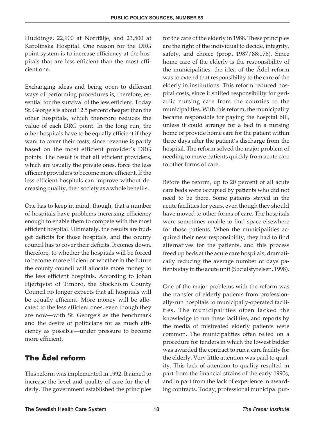Huddinge, 22,900 at Norrtälje, and 23,500 at Karolinska Hospital. One reason for the DRG point system is to increase efficiency at the hospitals that are less efficient than the most efficient one.

Exchanging ideas and being open to different ways of performing procedures is, therefore, essential for the survival of the less efficient. Today St. George's is about 12.5 percent cheaper than the other hospitals, which therefore reduces the value of each DRG point. In the long run, the other hospitals have to be equally efficient if they want to cover their costs, since revenue is partly based on the most efficient provider's DRG points. The result is that all efficient providers, which are usually the private ones, force the less efficient providers to become more efficient. If the less efficient hospitals can improve without decreasing quality, then society as a whole benefits.

One has to keep in mind, though, that a number of hospitals have problems increasing efficiency enough to enable them to compete with the most efficient hospital. Ultimately, the results are budget deficits for those hospitals, and the county council has to cover their deficits. It comes down, therefore, to whether the hospitals will be forced to become more efficient or whether in the future the county council will allocate more money to the less efficient hospitals. According to Johan Hjertqvist of Timbro, the Stockholm County Council no longer expects that all hospitals will be equally efficient. More money will be allocated to the less efficient ones, even though they are now—with St. George's as the benchmark and the desire of politicians for as much efficiency as possible—under pressure to become more efficient.

#### **The Ädel reform**

This reform was implemented in 1992. It aimed to increase the level and quality of care for the elderly. The government established the principles

for the care of the elderly in 1988. These principles are the right of the individual to decide, integrity, safety, and choice (prop. 1987/88:176). Since home care of the elderly is the responsibility of the municipalities, the idea of the Ädel reform was to extend that responsibility to the care of the elderly in institutions. This reform reduced hospital costs, since it shifted responsibility for geriatric nursing care from the counties to the municipalities. With this reform, the municipality became responsible for paying the hospital bill, unless it could arrange for a bed in a nursing home or provide home care for the patient within three days after the patient's discharge from the hospital. The reform solved the major problem of needing to move patients quickly from acute care to other forms of care.

Before the reform, up to 20 percent of all acute care beds were occupied by patients who did not need to be there. Some patients stayed in the acute facilities for years, even though they should have moved to other forms of care. The hospitals were sometimes unable to find space elsewhere for those patients. When the municipalities acquired their new responsibility, they had to find alternatives for the patients, and this process freed up beds at the acute care hospitals, dramatically reducing the average number of days patients stay in the acute unit (Socialstyrelsen, 1998).

One of the major problems with the reform was the transfer of elderly patients from professionally-run hospitals to municipally-operated facilities. The municipalities often lacked the knowledge to run these facilities, and reports by the media of mistreated elderly patients were common. The municipalities often relied on a procedure for tenders in which the lowest bidder was awarded the contract to run a care facility for the elderly. Very little attention was paid to quality. This lack of attention to quality resulted in part from the financial strains of the early 1990s, and in part from the lack of experience in awarding contracts. Today, professional municipal pur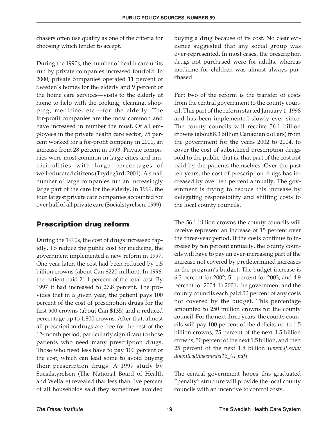chasers often use quality as one of the criteria for choosing which tender to accept.

During the 1990s, the number of health care units run by private companies increased fourfold. In 2000, private companies operated 11 percent of Sweden's homes for the elderly and 9 percent of the home care services**—**visits to the elderly at home to help with the cooking, cleaning, shopping, medicine, etc.—for the elderly. The for-profit companies are the most common and have increased in number the most. Of all employees in the private health care sector, 75 percent worked for a for-profit company in 2000, an increase from 28 percent in 1993. Private companies were most common in large cities and municipalities with large percentages of well-educated citizens (Trydegård, 2001). A small number of large companies run an increasingly large part of the care for the elderly. In 1999, the four largest private care companies accounted for over half of all private care (Socialstyrelsen, 1999).

#### **Prescription drug reform**

During the 1990s, the cost of drugs increased rapidly. To reduce the public cost for medicine, the government implemented a new reform in 1997. One year later, the cost had been reduced by 1.5 billion crowns (about Can \$220 million). In 1996, the patient paid 21.1 percent of the total cost. By 1997 it had increased to 27.8 percent. The provides that in a given year, the patient pays 100 percent of the cost of prescription drugs for the first 900 crowns (about Can \$135) and a reduced percentage up to 1,800 crowns. After that, almost all prescription drugs are free for the rest of the 12-month period, particularly significant to those patients who need many prescription drugs. Those who need less have to pay 100 percent of the cost, which can lead some to avoid buying their prescription drugs. A 1997 study by Socialstyrelsen (The National Board of Health and Welfare) revealed that less than five percent of all households said they sometimes avoided

buying a drug because of its cost. No clear evidence suggested that any social group was over-represented. In most cases, the prescription drugs not purchased were for adults, whereas medicine for children was almost always purchased.

Part two of the reform is the transfer of costs from the central government to the county council. This part of the reform started January 1, 1998 and has been implemented slowly ever since. The county councils will receive 56.1 billion crowns (about 8.3 billion Canadian dollars) from the government for the years 2002 to 2004, to cover the cost of subsidized prescription drugs sold to the public, that is, that part of the cost not paid by the patients themselves. Over the past ten years, the cost of prescription drugs has increased by over ten percent annually. The government is trying to reduce this increase by delegating responsibility and shifting costs to the local county councils.

The 56.1 billion crowns the county councils will receive represent an increase of 15 percent over the three-year period. If the costs continue to increase by ten percent annually, the county councils will have to pay an ever-increasing part of the increase not covered by predetermined increases in the program's budget. The budget increase is 6.3 percent for 2002, 5.1 percent for 2003, and 4.9 percent for 2004. In 2001, the government and the county councils each paid 50 percent of any costs not covered by the budget. This percentage amounted to 250 million crowns for the county council. For the next three years, the county councils will pay 100 percent of the deficits up to 1.5 billion crowns, 75 percent of the next 1.5 billion crowns, 50 percent of the next 1.5 billion, and then 25 percent of the next 1.8 billion (*www.lf.se/ia/ download/lakemedel16\_01.pdf*).

The central government hopes this graduated "penalty" structure will provide the local county councils with an incentive to control costs.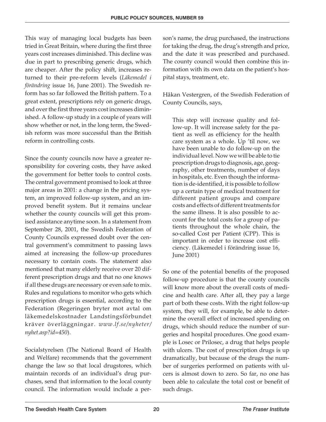This way of managing local budgets has been tried in Great Britain, where during the first three years cost increases diminished. This decline was due in part to prescribing generic drugs, which are cheaper. After the policy shift, increases returned to their pre-reform levels (*Läkemedel i förändring* issue 16, June 2001). The Swedish reform has so far followed the British pattern. To a great extent, prescriptions rely on generic drugs, and over the first three years cost increases diminished. A follow-up study in a couple of years will show whether or not, in the long term, the Swedish reform was more successful than the British reform in controlling costs.

Since the county councils now have a greater responsibility for covering costs, they have asked the government for better tools to control costs. The central government promised to look at three major areas in 2001: a change in the pricing system, an improved follow-up system, and an improved benefit system. But it remains unclear whether the county councils will get this promised assistance anytime soon. In a statement from September 28, 2001, the Swedish Federation of County Councils expressed doubt over the central government's commitment to passing laws aimed at increasing the follow-up procedures necessary to contain costs. The statement also mentioned that many elderly receive over 20 different prescription drugs and that no one knows if all these drugs are necessary or even safe to mix. Rules and regulations to monitor who gets which prescription drugs is essential, according to the Federation (Regeringen bryter mot avtal om läkemedelskostnader Landstingsförbundet kräver överläggningar. *www.lf.se/nyheter/ nyhet.asp?id=450*).

Socialstyrelsen (The National Board of Health and Welfare) recommends that the government change the law so that local drugstores, which maintain records of an individual's drug purchases, send that information to the local county council. The information would include a person's name, the drug purchased, the instructions for taking the drug, the drug's strength and price, and the date it was prescribed and purchased. The county council would then combine this information with its own data on the patient's hospital stays, treatment, etc.

Håkan Vestergren, of the Swedish Federation of County Councils, says,

This step will increase quality and follow-up. It will increase safety for the patient as well as efficiency for the health care system as a whole. Up 'til now, we have been unable to do follow-up on the individual level. Now we will be able to tie prescription drugs to diagnosis, age, geography, other treatments, number of days in hospitals, etc. Even though the information is de-identified, it is possible to follow up a certain type of medical treatment for different patient groups and compare costs and effects of different treatments for the same illness. It is also possible to account for the total costs for a group of patients throughout the whole chain, the so-called Cost per Patient (CPP). This is important in order to increase cost efficiency. (Läkemedel i förändring issue 16, June 2001)

So one of the potential benefits of the proposed follow-up procedure is that the county councils will know more about the overall costs of medicine and health care. After all, they pay a large part of both these costs. With the right follow-up system, they will, for example, be able to determine the overall effect of increased spending on drugs, which should reduce the number of surgeries and hospital procedures. One good example is Losec or Prilosec, a drug that helps people with ulcers. The cost of prescription drugs is up dramatically, but because of the drugs the number of surgeries performed on patients with ulcers is almost down to zero. So far, no one has been able to calculate the total cost or benefit of such drugs.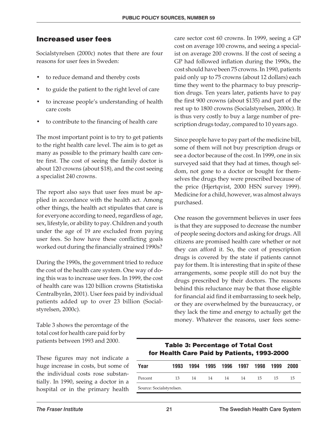#### **Increased user fees**

Socialstyrelsen (2000c) notes that there are four reasons for user fees in Sweden:

- to reduce demand and thereby costs
- to guide the patient to the right level of care
- to increase people's understanding of health care costs
- to contribute to the financing of health care

The most important point is to try to get patients to the right health care level. The aim is to get as many as possible to the primary health care centre first. The cost of seeing the family doctor is about 120 crowns (about \$18), and the cost seeing a specialist 240 crowns.

The report also says that user fees must be applied in accordance with the health act. Among other things, the health act stipulates that care is for everyone according to need, regardless of age, sex, lifestyle, or ability to pay. Children and youth under the age of 19 are excluded from paying user fees. So how have these conflicting goals worked out during the financially strained 1990s?

During the 1990s, the government tried to reduce the cost of the health care system. One way of doing this was to increase user fees. In 1999, the cost of health care was 120 billion crowns (Statistiska Centralbyrån, 2001). User fees paid by individual patients added up to over 23 billion (Socialstyrelsen, 2000c).

Table 3 shows the percentage of the total cost for health care paid for by patients between 1993 and 2000.

These figures may not indicate a huge increase in costs, but some of the individual costs rose substantially. In 1990, seeing a doctor in a hospital or in the primary health care sector cost 60 crowns. In 1999, seeing a GP cost on average 100 crowns, and seeing a specialist on average 200 crowns. If the cost of seeing a GP had followed inflation during the 1990s, the cost should have been 75 crowns. In 1990, patients paid only up to 75 crowns (about 12 dollars) each time they went to the pharmacy to buy prescription drugs. Ten years later, patients have to pay the first 900 crowns (about \$135) and part of the rest up to 1800 crowns (Socialstyrelsen, 2000c). It is thus very costly to buy a large number of prescription drugs today, compared to 10 years ago.

Since people have to pay part of the medicine bill, some of them will not buy prescription drugs or see a doctor because of the cost. In 1999, one in six surveyed said that they had at times, though seldom, not gone to a doctor or bought for themselves the drugs they were prescribed because of the price (Hjertqvist, 2000 HSN survey 1999). Medicine for a child, however, was almost always purchased.

One reason the government believes in user fees is that they are supposed to decrease the number of people seeing doctors and asking for drugs. All citizens are promised health care whether or not they can afford it. So, the cost of prescription drugs is covered by the state if patients cannot pay for them. It is interesting that in spite of these arrangements, some people still do not buy the drugs prescribed by their doctors. The reasons behind this reluctance may be that those eligible for financial aid find it embarrassing to seek help, or they are overwhelmed by the bureaucracy, or they lack the time and energy to actually get the money. Whatever the reasons, user fees some-

#### **Table 3: Percentage of Total Cost for Health Care Paid by Patients, 1993-2000**

| Year                     | 1993 | 1994 |    | 1995 1996 1997 1998 |    |    | 1999 | -2000 |  |
|--------------------------|------|------|----|---------------------|----|----|------|-------|--|
| Percent                  | 13   | 14   | 14 | 14                  | 14 | 15 | 15   | 15    |  |
| Source: Socialstyrelsen. |      |      |    |                     |    |    |      |       |  |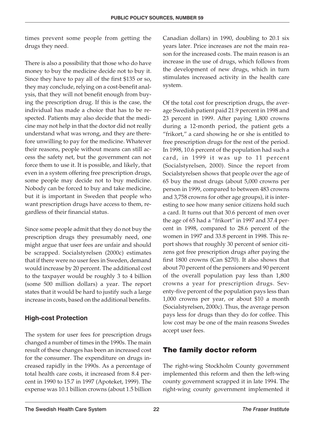times prevent some people from getting the drugs they need.

There is also a possibility that those who do have money to buy the medicine decide not to buy it. Since they have to pay all of the first \$135 or so, they may conclude, relying on a cost-benefit analysis, that they will not benefit enough from buying the prescription drug. If this is the case, the individual has made a choice that has to be respected. Patients may also decide that the medicine may not help in that the doctor did not really understand what was wrong, and they are therefore unwilling to pay for the medicine. Whatever their reasons, people without means can still access the safety net, but the government can not force them to use it. It is possible, and likely, that even in a system offering free prescription drugs, some people may decide not to buy medicine. Nobody can be forced to buy and take medicine, but it is important in Sweden that people who want prescription drugs have access to them, regardless of their financial status.

Since some people admit that they do not buy the prescription drugs they presumably need, one might argue that user fees are unfair and should be scrapped. Socialstyrelsen (2000c) estimates that if there were no user fees in Sweden, demand would increase by 20 percent. The additional cost to the taxpayer would be roughly 3 to 4 billion (some 500 million dollars) a year. The report states that it would be hard to justify such a large increase in costs, based on the additional benefits.

#### **High-cost Protection**

The system for user fees for prescription drugs changed a number of times in the 1990s. The main result of these changes has been an increased cost for the consumer. The expenditure on drugs increased rapidly in the 1990s. As a percentage of total health care costs, it increased from 8.4 percent in 1990 to 15.7 in 1997 (Apoteket, 1999). The expense was 10.1 billion crowns (about 1.5 billion Canadian dollars) in 1990, doubling to 20.1 six years later. Price increases are not the main reason for the increased costs. The main reason is an increase in the use of drugs, which follows from the development of new drugs, which in turn stimulates increased activity in the health care system.

Of the total cost for prescription drugs, the average Swedish patient paid 21.9 percent in 1998 and 23 percent in 1999. After paying 1,800 crowns during a 12-month period, the patient gets a "frikort," a card showing he or she is entitled to free prescription drugs for the rest of the period. In 1998, 10.6 percent of the population had such a card, in 1999 it was up to 11 percent (Socialstyrelsen, 2000). Since the report from Socialstyrelsen shows that people over the age of 65 buy the most drugs (about 5,000 crowns per person in 1999, compared to between 483 crowns and 3,758 crowns for other age groups), it is interesting to see how many senior citizens hold such a card. It turns out that 30.6 percent of men over the age of 65 had a "frikort" in 1997 and 37.4 percent in 1998, compared to 28.6 percent of the women in 1997 and 33.8 percent in 1998. This report shows that roughly 30 percent of senior citizens got free prescription drugs after paying the first 1800 crowns (Can \$270). It also shows that about 70 percent of the pensioners and 90 percent of the overall population pay less than 1,800 crowns a year for prescription drugs. Seventy-five percent of the population pays less than 1,000 crowns per year, or about \$10 a month (Socialstyrelsen, 2000c). Thus, the average person pays less for drugs than they do for coffee. This low cost may be one of the main reasons Swedes accept user fees.

#### **The family doctor reform**

The right-wing Stockholm County government implemented this reform and then the left-wing county government scrapped it in late 1994. The right-wing county government implemented it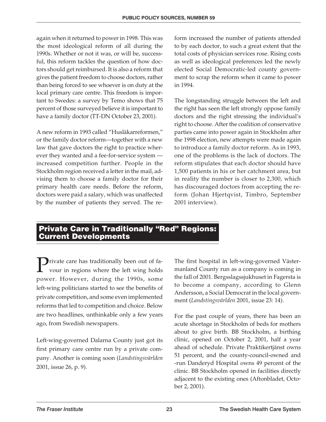again when it returned to power in 1998. This was the most ideological reform of all during the 1990s. Whether or not it was, or will be, successful, this reform tackles the question of how doctors should get reimbursed. It is also a reform that gives the patient freedom to choose doctors, rather than being forced to see whoever is on duty at the local primary care centre. This freedom is important to Swedes: a survey by Temo shows that 75 percent of those surveyed believe it is important to have a family doctor (TT-DN October 23, 2001).

A new reform in 1993 called "Husläkarreformen," or the family doctor reform—together with a new law that gave doctors the right to practice wherever they wanted and a fee-for-service system increased competition further. People in the Stockholm region received a letter in the mail, advising them to choose a family doctor for their primary health care needs. Before the reform, doctors were paid a salary, which was unaffected by the number of patients they served. The reform increased the number of patients attended to by each doctor, to such a great extent that the total costs of physician services rose. Rising costs as well as ideological preferences led the newly elected Social Democratic-led county government to scrap the reform when it came to power in 1994.

The longstanding struggle between the left and the right has seen the left strongly oppose family doctors and the right stressing the individual's right to choose. After the coalition of conservative parties came into power again in Stockholm after the 1998 election, new attempts were made again to introduce a family doctor reform. As in 1993, one of the problems is the lack of doctors. The reform stipulates that each doctor should have 1,500 patients in his or her catchment area, but in reality the number is closer to 2,300, which has discouraged doctors from accepting the reform (Johan Hjertqvist, Timbro, September 2001 interview).

#### **Private Care in Traditionally "Red" Regions: Current Developments**

Private care has traditionally been out of favour in regions where the left wing holds power. However, during the 1990s, some left-wing politicians started to see the benefits of private competition, and some even implemented reforms that led to competition and choice. Below are two headlines, unthinkable only a few years ago, from Swedish newspapers.

Left-wing-governed Dalarna County just got its first primary care centre run by a private company. Another is coming soon (*Landstingsvärlden* 2001, issue 26, p. 9).

The first hospital in left-wing-governed Västermanland County run as a company is coming in the fall of 2001. Bergsslagssjukhuset in Fagersta is to become a company, according to Glenn Andersson, a Social Democrat in the local government (*Landstingsvärlden* 2001, issue 23: 14).

For the past couple of years, there has been an acute shortage in Stockholm of beds for mothers about to give birth. BB Stockholm, a birthing clinic, opened on October 2, 2001, half a year ahead of schedule. Private Praktikertjänst owns 51 percent, and the county-council-owned and -run Danderyd Hospital owns 49 percent of the clinic. BB Stockholm opened in facilities directly adjacent to the existing ones (Aftonbladet, October 2, 2001).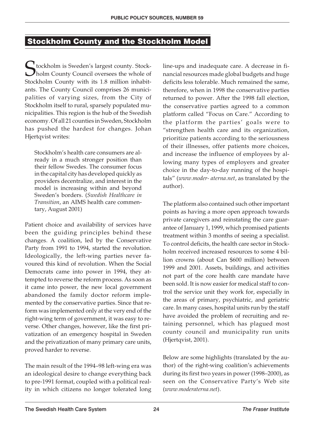#### **Stockholm County and the Stockholm Model**

C tockholm is Sweden's largest county. Stockholm County Council oversees the whole of Stockholm County with its 1.8 million inhabitants. The County Council comprises 26 municipalities of varying sizes, from the City of Stockholm itself to rural, sparsely populated municipalities. This region is the hub of the Swedish economy. Of all 21 counties in Sweden, Stockholm has pushed the hardest for changes. Johan Hjertqvist writes:

Stockholm's health care consumers are already in a much stronger position than their fellow Swedes. The consumer focus in the capital city has developed quickly as providers decentralize, and interest in the model is increasing within and beyond Sweden's borders. (*Swedish Healthcare in Transition*, an AIMS health care commentary, August 2001)

Patient choice and availability of services have been the guiding principles behind these changes. A coalition, led by the Conservative Party from 1991 to 1994, started the revolution. Ideologically, the left-wing parties never favoured this kind of revolution. When the Social Democrats came into power in 1994, they attempted to reverse the reform process. As soon as it came into power, the new local government abandoned the family doctor reform implemented by the conservative parties. Since that reform was implemented only at the very end of the right-wing term of government, it was easy to reverse. Other changes, however, like the first privatization of an emergency hospital in Sweden and the privatization of many primary care units, proved harder to reverse.

The main result of the 1994–98 left-wing era was an ideological desire to change everything back to pre-1991 format, coupled with a political reality in which citizens no longer tolerated long line-ups and inadequate care. A decrease in financial resources made global budgets and huge deficits less tolerable. Much remained the same, therefore, when in 1998 the conservative parties returned to power. After the 1998 fall election, the conservative parties agreed to a common platform called "Focus on Care." According to the platform the parties' goals were to "strengthen health care and its organization, prioritize patients according to the seriousness of their illnesses, offer patients more choices, and increase the influence of employees by allowing many types of employers and greater choice in the day-to-day running of the hospitals" (*www.moder- aterna.net*, as translated by the author).

The platform also contained such other important points as having a more open approach towards private caregivers and reinstating the care guarantee of January 1, 1999, which promised patients treatment within 3 months of seeing a specialist. To control deficits, the health care sector in Stockholm received increased resources to some 4 billion crowns (about Can \$600 million) between 1999 and 2001. Assets, buildings, and activities not part of the core health care mandate have been sold. It is now easier for medical staff to control the service unit they work for, especially in the areas of primary, psychiatric, and geriatric care. In many cases, hospital units run by the staff have avoided the problem of recruiting and retaining personnel, which has plagued most county council and municipality run units (Hjertqvist, 2001).

Below are some highlights (translated by the author) of the right-wing coalition's achievements during its first two years in power (1998–2000), as seen on the Conservative Party's Web site (*www.moderaterna.net*).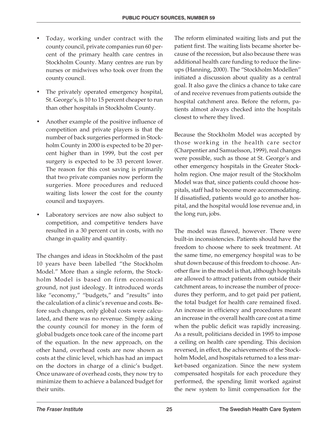- Today, working under contract with the county council, private companies run 60 percent of the primary health care centres in Stockholm County. Many centres are run by nurses or midwives who took over from the county council.
- The privately operated emergency hospital, St. George's, is 10 to 15 percent cheaper to run than other hospitals in Stockholm County.
- Another example of the positive influence of competition and private players is that the number of back surgeries performed in Stockholm County in 2000 is expected to be 20 percent higher than in 1999, but the cost per surgery is expected to be 33 percent lower. The reason for this cost saving is primarily that two private companies now perform the surgeries. More procedures and reduced waiting lists lower the cost for the county council and taxpayers.
- Laboratory services are now also subject to competition, and competitive tenders have resulted in a 30 percent cut in costs, with no change in quality and quantity.

The changes and ideas in Stockholm of the past 10 years have been labelled "the Stockholm Model." More than a single reform, the Stockholm Model is based on firm economical ground, not just ideology. It introduced words like "economy," "budgets," and "results" into the calculation of a clinic's revenue and costs. Before such changes, only global costs were calculated, and there was no revenue. Simply asking the county council for money in the form of global budgets once took care of the income part of the equation. In the new approach, on the other hand, overhead costs are now shown as costs at the clinic level, which has had an impact on the doctors in charge of a clinic's budget. Once unaware of overhead costs, they now try to minimize them to achieve a balanced budget for their units.

The reform eliminated waiting lists and put the patient first. The waiting lists became shorter because of the recession, but also because there was additional health care funding to reduce the lineups (Hanning, 2000). The "Stockholm Modellen" initiated a discussion about quality as a central goal. It also gave the clinics a chance to take care of and receive revenues from patients outside the hospital catchment area. Before the reform, patients almost always checked into the hospitals closest to where they lived.

Because the Stockholm Model was accepted by those working in the health care sector (Charpentier and Samuelsson, 1999), real changes were possible, such as those at St. George's and other emergency hospitals in the Greater Stockholm region. One major result of the Stockholm Model was that, since patients could choose hospitals, staff had to become more accommodating. If dissatisfied, patients would go to another hospital, and the hospital would lose revenue and, in the long run, jobs.

The model was flawed, however. There were built-in inconsistencies. Patients should have the freedom to choose where to seek treatment. At the same time, no emergency hospital was to be shut down because of this freedom to choose. Another flaw in the model is that, although hospitals are allowed to attract patients from outside their catchment areas, to increase the number of procedures they perform, and to get paid per patient, the total budget for health care remained fixed. An increase in efficiency and procedures meant an increase in the overall health care cost at a time when the public deficit was rapidly increasing. As a result, politicians decided in 1995 to impose a ceiling on health care spending. This decision reversed, in effect, the achievements of the Stockholm Model, and hospitals returned to a less market-based organization. Since the new system compensated hospitals for each procedure they performed, the spending limit worked against the new system to limit compensation for the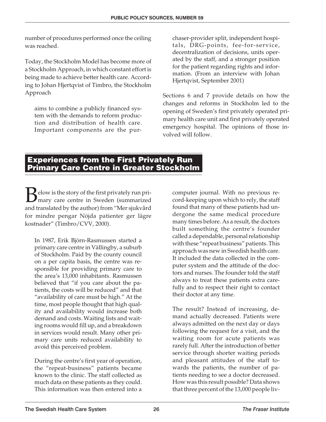number of procedures performed once the ceiling was reached.

Today, the Stockholm Model has become more of a Stockholm Approach, in which constant effort is being made to achieve better health care. According to Johan Hjertqvist of Timbro, the Stockholm Approach

aims to combine a publicly financed system with the demands to reform production and distribution of health care. Important components are the pur-

chaser-provider split, independent hospitals, DRG-points, fee-for-service, decentralization of decisions, units operated by the staff, and a stronger position for the patient regarding rights and information. (From an interview with Johan Hjertqvist, September 2001)

Sections 6 and 7 provide details on how the changes and reforms in Stockholm led to the opening of Sweden's first privately operated primary health care unit and first privately operated emergency hospital. The opinions of those involved will follow.

#### **Experiences from the First Privately Run Primary Care Centre in Greater Stockholm**

 $B$ elow is the story of the first privately run pri-<br>mary care centre in Sweden (summarized<br>and translated by the author) from "Morgiulay and mary care centre in Sweden (summarized and translated by the author) from "Mer sjukvård for mindre pengar Nöjda patienter ger lägre kostnader" (Timbro/CVV, 2000).

In 1987, Erik Björn-Rasmussen started a primary care centre in Vällingby, a suburb of Stockholm. Paid by the county council on a per capita basis, the centre was responsible for providing primary care to the area's 13,000 inhabitants. Rasmussen believed that "if you care about the patients, the costs will be reduced" and that "availability of care must be high." At the time, most people thought that high quality and availability would increase both demand and costs. Waiting lists and waiting rooms would fill up, and a breakdown in services would result. Many other primary care units reduced availability to avoid this perceived problem.

During the centre's first year of operation, the "repeat-business" patients became known to the clinic. The staff collected as much data on these patients as they could. This information was then entered into a

computer journal. With no previous record-keeping upon which to rely, the staff found that many of these patients had undergone the same medical procedure many times before. As a result, the doctors built something the centre's founder called a dependable, personal relationship with these "repeat business" patients. This approach was new in Swedish health care. It included the data collected in the computer system and the attitude of the doctors and nurses. The founder told the staff always to treat these patients extra carefully and to respect their right to contact their doctor at any time.

The result? Instead of increasing, demand actually decreased. Patients were always admitted on the next day or days following the request for a visit, and the waiting room for acute patients was rarely full. After the introduction of better service through shorter waiting periods and pleasant attitudes of the staff towards the patients, the number of patients needing to see a doctor decreased. How was this result possible? Data shows that three percent of the 13,000 people liv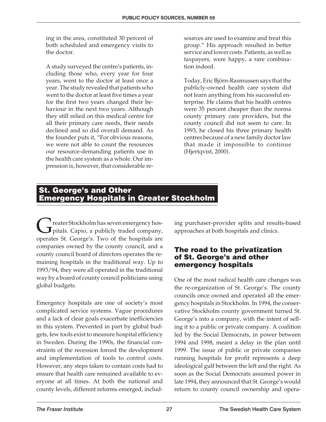ing in the area, constituted 30 percent of both scheduled and emergency visits to the doctor.

A study surveyed the centre's patients, including those who, every year for four years, went to the doctor at least once a year. The study revealed that patients who went to the doctor at least five times a year for the first two years changed their behaviour in the next two years. Although they still relied on this medical centre for all their primary care needs, their needs declined and so did overall demand. As the founder puts it, "For obvious reasons, we were not able to count the resources our resource-demanding patients use in the health care system as a whole. Our impression is, however, that considerable re-

sources are used to examine and treat this group." His approach resulted in better service and lower costs. Patients, as well as taxpayers, were happy, a rare combination indeed.

Today, Eric Björn-Rasmussen says that the publicly-owned health care system did not learn anything from his successful enterprise. He claims that his health centres were 35 percent cheaper than the norma county primary care providers, but the county council did not seem to care. In 1993, he closed his three primary health centres because of a new family doctor law that made it impossible to continue (Hjertqvist, 2000).

#### **St. George's and Other Emergency Hospitals in Greater Stockholm**

reater Stockholm has seven emergency hos- $\mathbf{J}$  pitals. Capio, a publicly traded company, operates St. George's. Two of the hospitals are companies owned by the county council, and a county council board of directors operates the remaining hospitals in the traditional way. Up to 1993/94, they were all operated in the traditional way by a board of county council politicians using global budgets.

Emergency hospitals are one of society's most complicated service systems. Vague procedures and a lack of clear goals exacerbate inefficiencies in this system. Prevented in part by global budgets, few tools exist to measure hospital efficiency in Sweden. During the 1990s, the financial constraints of the recession forced the development and implementation of tools to control costs. However, any steps taken to contain costs had to ensure that health care remained available to everyone at all times. At both the national and county levels, different reforms emerged, including purchaser-provider splits and results-based approaches at both hospitals and clinics.

#### **The road to the privatization of St. George's and other emergency hospitals**

One of the most radical health care changes was the re-organization of St. George's. The county councils once owned and operated all the emergency hospitals in Stockholm. In 1994, the conservative Stockholm county government turned St. George's into a company, with the intent of selling it to a public or private company. A coalition led by the Social Democrats, in power between 1994 and 1998, meant a delay in the plan until 1999. The issue of public or private companies running hospitals for profit represents a deep ideological gulf between the left and the right. As soon as the Social Democrats assumed power in late 1994, they announced that St. George's would return to county council ownership and opera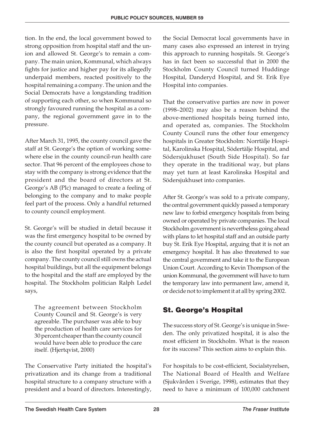tion. In the end, the local government bowed to strong opposition from hospital staff and the union and allowed St. George's to remain a company. The main union, Kommunal, which always fights for justice and higher pay for its allegedly underpaid members, reacted positively to the hospital remaining a company. The union and the Social Democrats have a longstanding tradition of supporting each other, so when Kommunal so strongly favoured running the hospital as a company, the regional government gave in to the pressure.

After March 31, 1995, the county council gave the staff at St. George's the option of working somewhere else in the county council-run health care sector. That 96 percent of the employees chose to stay with the company is strong evidence that the president and the board of directors at St. George's AB (Plc) managed to create a feeling of belonging to the company and to make people feel part of the process. Only a handful returned to county council employment.

St. George's will be studied in detail because it was the first emergency hospital to be owned by the county council but operated as a company. It is also the first hospital operated by a private company. The county council still owns the actual hospital buildings, but all the equipment belongs to the hospital and the staff are employed by the hospital. The Stockholm politician Ralph Ledel says,

The agreement between Stockholm County Council and St. George's is very agreeable. The purchaser was able to buy the production of health care services for 30 percent cheaper than the county council would have been able to produce the care itself. (Hjertqvist, 2000)

The Conservative Party initiated the hospital's privatization and its change from a traditional hospital structure to a company structure with a president and a board of directors. Interestingly,

the Social Democrat local governments have in many cases also expressed an interest in trying this approach to running hospitals. St. George's has in fact been so successful that in 2000 the Stockholm County Council turned Huddinge Hospital, Danderyd Hospital, and St. Erik Eye Hospital into companies.

That the conservative parties are now in power (1998–2002) may also be a reason behind the above-mentioned hospitals being turned into, and operated as, companies. The Stockholm County Council runs the other four emergency hospitals in Greater Stockholm: Norrtälje Hospital, Karolinska Hospital, Södertälje Hospital, and Södersjukhuset (South Side Hospital). So far they operate in the traditional way, but plans may yet turn at least Karolinska Hospital and Södersjukhuset into companies.

After St. George's was sold to a private company, the central government quickly passed a temporary new law to forbid emergency hospitals from being owned or operated by private companies. The local Stockholm government is nevertheless going ahead with plans to let hospital staff and an outside party buy St. Erik Eye Hospital, arguing that it is not an emergency hospital. It has also threatened to sue the central government and take it to the European Union Court. According to Kevin Thompson of the union Kommunal, the government will have to turn the temporary law into permanent law, amend it, or decide not to implement it at all by spring 2002.

#### **St. George's Hospital**

The success story of St. George's is unique in Sweden. The only privatized hospital, it is also the most efficient in Stockholm. What is the reason for its success? This section aims to explain this.

For hospitals to be cost-efficient, Socialstyrelsen, The National Board of Health and Welfare (Sjukvården i Sverige, 1998), estimates that they need to have a minimum of 100,000 catchment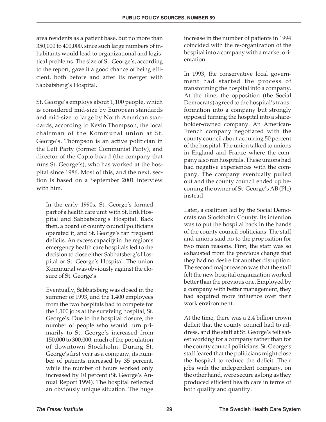area residents as a patient base, but no more than 350,000 to 400,000, since such large numbers of inhabitants would lead to organizational and logistical problems. The size of St. George's, according to the report, gave it a good chance of being efficient, both before and after its merger with Sabbatsberg's Hospital.

St. George's employs about 1,100 people, which is considered mid-size by European standards and mid-size to large by North American standards, according to Kevin Thompson, the local chairman of the Kommunal union at St. George's. Thompson is an active politician in the Left Party (former Communist Party), and director of the Capio board (the company that runs St. George's), who has worked at the hospital since 1986. Most of this, and the next, section is based on a September 2001 interview with him.

In the early 1990s, St. George's formed part of a health care unit with St. Erik Hospital and Sabbatsberg's Hospital. Back then, a board of county council politicians operated it, and St. George's ran frequent deficits. An excess capacity in the region's emergency health care hospitals led to the decision to close either Sabbatsberg's Hospital or St. George's Hospital. The union Kommunal was obviously against the closure of St. George's.

Eventually, Sabbatsberg was closed in the summer of 1993, and the 1,400 employees from the two hospitals had to compete for the 1,100 jobs at the surviving hospital, St. George's. Due to the hospital closure, the number of people who would turn primarily to St. George's increased from 150,000 to 300,000, much of the population of downtown Stockholm. During St. George's first year as a company, its number of patients increased by 35 percent, while the number of hours worked only increased by 10 percent (St. George's Annual Report 1994). The hospital reflected an obviously unique situation. The huge

increase in the number of patients in 1994 coincided with the re-organization of the hospital into a company with a market orientation.

In 1993, the conservative local government had started the process of transforming the hospital into a company. At the time, the opposition (the Social Democrats) agreed to the hospital's transformation into a company but strongly opposed turning the hospital into a shareholder-owned company. An American-French company negotiated with the county council about acquiring 50 percent of the hospital. The union talked to unions in England and France where the company also ran hospitals. These unions had had negative experiences with the company. The company eventually pulled out and the county council ended up becoming the owner of St. George's AB (Plc) instead.

Later, a coalition led by the Social Democrats ran Stockholm County. Its intention was to put the hospital back in the hands of the county council politicians. The staff and unions said no to the proposition for two main reasons. First, the staff was so exhausted from the previous change that they had no desire for another disruption. The second major reason was that the staff felt the new hospital organization worked better than the previous one. Employed by a company with better management, they had acquired more influence over their work environment.

At the time, there was a 2.4 billion crown deficit that the county council had to address, and the staff at St. George's felt safest working for a company rather than for the county council politicians. St. George's staff feared that the politicians might close the hospital to reduce the deficit. Their jobs with the independent company, on the other hand, were secure as long as they produced efficient health care in terms of both quality and quantity.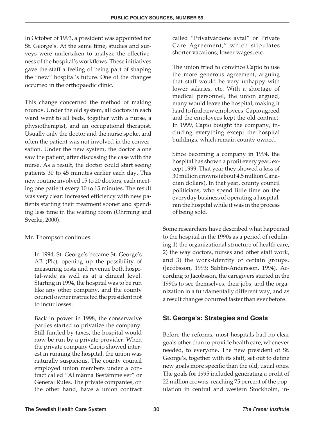In October of 1993, a president was appointed for St. George's. At the same time, studies and surveys were undertaken to analyze the effectiveness of the hospital's workflows. These initiatives gave the staff a feeling of being part of shaping the "new" hospital's future. One of the changes occurred in the orthopaedic clinic.

This change concerned the method of making rounds. Under the old system, all doctors in each ward went to all beds, together with a nurse, a physiotherapist, and an occupational therapist. Usually only the doctor and the nurse spoke, and often the patient was not involved in the conversation. Under the new system, the doctor alone saw the patient, after discussing the case with the nurse. As a result, the doctor could start seeing patients 30 to 45 minutes earlier each day. This new routine involved 15 to 20 doctors, each meeting one patient every 10 to 15 minutes. The result was very clear: increased efficiency with new patients starting their treatment sooner and spending less time in the waiting room (Öhrming and Sverke, 2000).

#### Mr. Thompson continues:

In 1994, St. George's became St. George's AB (Plc), opening up the possibility of measuring costs and revenue both hospital-wide as well as at a clinical level. Starting in 1994, the hospital was to be run like any other company, and the county council owner instructed the president not to incur losses.

Back in power in 1998, the conservative parties started to privatize the company. Still funded by taxes, the hospital would now be run by a private provider. When the private company Capio showed interest in running the hospital, the union was naturally suspicious. The county council employed union members under a contract called "Allmänna Bestämmelser" or General Rules. The private companies, on the other hand, have a union contract

called "Privatvårdens avtal" or Private Care Agreement," which stipulates shorter vacations, lower wages, etc.

The union tried to convince Capio to use the more generous agreement, arguing that staff would be very unhappy with lower salaries, etc. With a shortage of medical personnel, the union argued, many would leave the hospital, making it hard to find new employees. Capio agreed and the employees kept the old contract. In 1999, Capio bought the company, including everything except the hospital buildings, which remain county-owned.

Since becoming a company in 1994, the hospital has shown a profit every year, except 1999. That year they showed a loss of 30 million crowns (about 4.5 million Canadian dollars). In that year, county council politicians, who spend little time on the everyday business of operating a hospital, ran the hospital while it was in the process of being sold.

Some researchers have described what happened to the hospital in the 1990s as a period of redefining 1) the organizational structure of health care, 2) the way doctors, nurses and other staff work, and 3) the work-identity of certain groups. (Jacobsson, 1993; Sahlin-Andersson, 1994). According to Jacobsson, the caregivers started in the 1990s to see themselves, their jobs, and the organization in a fundamentally different way, and as a result changes occurred faster than ever before.

#### **St. George's: Strategies and Goals**

Before the reforms, most hospitals had no clear goals other than to provide health care, whenever needed, to everyone. The new president of St. George's, together with its staff, set out to define new goals more specific than the old, usual ones. The goals for 1995 included generating a profit of 22 million crowns, reaching 75 percent of the population in central and western Stockholm, in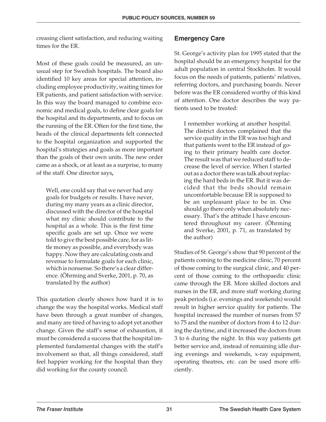creasing client satisfaction, and reducing waiting times for the ER.

Most of these goals could be measured, an unusual step for Swedish hospitals. The board also identified 10 key areas for special attention, including employee productivity, waiting times for ER patients, and patient satisfaction with service. In this way the board managed to combine economic and medical goals, to define clear goals for the hospital and its departments, and to focus on the running of the ER. Often for the first time, the heads of the clinical departments felt connected to the hospital organization and supported the hospital's strategies and goals as more important than the goals of their own units. The new order came as a shock, or at least as a surprise, to many of the staff. One director says**,**

Well, one could say that we never had any goals for budgets or results. I have never, during my many years as a clinic director, discussed with the director of the hospital what my clinic should contribute to the hospital as a whole. This is the first time specific goals are set up. Once we were told to give the best possible care, for as little money as possible, and everybody was happy. Now they are calculating costs and revenue to formulate goals for each clinic, which is nonsense. So there's a clear difference. (Öhrming and Sverke, 2001, p. 70, as translated by the author)

This quotation clearly shows how hard it is to change the way the hospital works. Medical staff have been through a great number of changes, and many are tired of having to adopt yet another change. Given the staff's sense of exhaustion, it must be considered a success that the hospital implemented fundamental changes with the staff's involvement so that, all things considered, staff feel happier working for the hospital than they did working for the county council.

#### **Emergency Care**

St. George's activity plan for 1995 stated that the hospital should be an emergency hospital for the adult population in central Stockholm. It would focus on the needs of patients, patients' relatives, referring doctors, and purchasing boards. Never before was the ER considered worthy of this kind of attention. One doctor describes the way patients used to be treated:

I remember working at another hospital. The district doctors complained that the service quality in the ER was too high and that patients went to the ER instead of going to their primary health care doctor. The result was that we reduced staff to decrease the level of service. When I started out as a doctor there was talk about replacing the hard beds in the ER. But it was decided that the beds should remain uncomfortable because ER is supposed to be an unpleasant place to be in. One should go there only when absolutely necessary. That's the attitude I have encountered throughout my career. (Öhrming and Sverke, 2001, p. 71, as translated by the author)

Studies of St. George's show that 90 percent of the patients coming to the medicine clinic, 70 percent of those coming to the surgical clinic, and 40 percent of those coming to the orthopaedic clinic came through the ER. More skilled doctors and nurses in the ER, and more staff working during peak periods (i.e. evenings and weekends) would result in higher service quality for patients. The hospital increased the number of nurses from 57 to 75 and the number of doctors from 4 to 12 during the daytime, and it increased the doctors from 3 to 6 during the night. In this way patients get better service and, instead of remaining idle during evenings and weekends, x-ray equipment, operating theatres, etc. can be used more efficiently.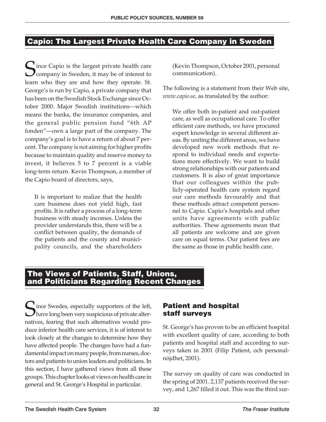#### **Capio: The Largest Private Health Care Company in Sweden**

 $\Gamma$  ince Capio is the largest private health care **Company in Sweden, it may be of interest to** learn who they are and how they operate. St. George's is run by Capio, a private company that has been on the Swedish Stock Exchange since October 2000. Major Swedish institutions—which means the banks, the insurance companies, and the general public pension fund "6th AP fonden"—own a large part of the company. The company's goal is to have a return of about 7 percent. The company is not aiming for higher profits because to maintain quality and reserve money to invest, it believes 5 to 7 percent is a viable long-term return. Kevin Thompson, a member of the Capio board of directors, says,

It is important to realize that the health care business does not yield high, fast profits. It is rather a process of a long-term business with steady incomes. Unless the provider understands this, there will be a conflict between quality, the demands of the patients and the county and municipality councils, and the shareholders

(Kevin Thompson, October 2001, personal communication).

The following is a statement from their Web site, *www.capio.se*, as translated by the author:

We offer both in-patient and out-patient care, as well as occupational care. To offer efficient care methods, we have procured expert knowledge in several different areas. By uniting the different areas, we have developed new work methods that respond to individual needs and expectations more effectively. We want to build strong relationships with our patients and customers. It is also of great importance that our colleagues within the publicly-operated health care system regard our care methods favourably and that these methods attract competent personnel to Capio. Capio's hospitals and other units have agreements with public authorities. These agreements mean that all patients are welcome and are given care on equal terms. Our patient fees are the same as those in public health care.

#### **The Views of Patients, Staff, Unions, and Politicians Regarding Recent Changes**

Ince Swedes, especially supporters of the left, **)** have long been very suspicious of private alternatives, fearing that such alternatives would produce inferior health care services, it is of interest to look closely at the changes to determine how they have affected people. The changes have had a fundamental impact on many people, from nurses, doctors and patients to union leaders and politicians. In this section, I have gathered views from all these groups. This chapter looks at views on health care in general and St. George's Hospital in particular.

#### **Patient and hospital staff surveys**

St. George's has proven to be an efficient hospital with excellent quality of care, according to both patients and hospital staff and according to surveys taken in 2001 (Filip Patient, och personalnöjdhet, 2001).

The survey on quality of care was conducted in the spring of 2001. 2,137 patients received the survey, and 1,267 filled it out. This was the third sur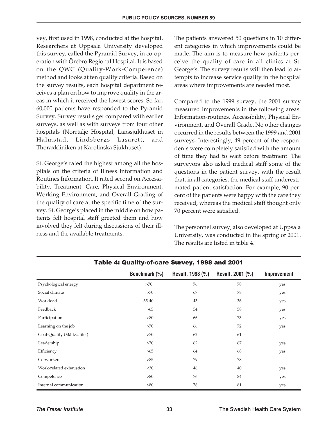vey, first used in 1998, conducted at the hospital. Researchers at Uppsala University developed this survey, called the Pyramid Survey, in co-operation with Örebro Regional Hospital. It is based on the QWC (Quality-Work-Competence) method and looks at ten quality criteria. Based on the survey results, each hospital department receives a plan on how to improve quality in the areas in which it received the lowest scores. So far, 60,000 patients have responded to the Pyramid Survey. Survey results get compared with earlier surveys, as well as with surveys from four other hospitals (Norrtälje Hospital, Länssjukhuset in Halmstad, Lindsbergs Lasarett, and Thoraxkliniken at Karolinska Sjukhuset).

St. George's rated the highest among all the hospitals on the criteria of Illness Information and Routines Information. It rated second on Accessibility, Treatment, Care, Physical Environment, Working Environment, and Overall Grading of the quality of care at the specific time of the survey. St. George's placed in the middle on how patients felt hospital staff greeted them and how involved they felt during discussions of their illness and the available treatments.

The patients answered 50 questions in 10 different categories in which improvements could be made. The aim is to measure how patients perceive the quality of care in all clinics at St. George's. The survey results will then lead to attempts to increase service quality in the hospital areas where improvements are needed most.

Compared to the 1999 survey, the 2001 survey measured improvements in the following areas: Information-routines, Accessibility, Physical Environment, and Overall Grade. No other changes occurred in the results between the 1999 and 2001 surveys. Interestingly, 49 percent of the respondents were completely satisfied with the amount of time they had to wait before treatment. The surveyors also asked medical staff some of the questions in the patient survey, with the result that, in all categories, the medical staff underestimated patient satisfaction. For example, 90 percent of the patients were happy with the care they received, whereas the medical staff thought only 70 percent were satisfied.

The personnel survey, also developed at Uppsala University, was conducted in the spring of 2001. The results are listed in table 4.

|                            | Benchmark (%) | Result, 1998 (%) | Result, 2001 (%) | Improvement |  |  |  |  |  |  |
|----------------------------|---------------|------------------|------------------|-------------|--|--|--|--|--|--|
| Psychological energy       | >70           | 76               | 78               | yes         |  |  |  |  |  |  |
| Social climate             | >70           | 67               | 78               | yes         |  |  |  |  |  |  |
| Workload                   | 35-40         | 43               | 36               | yes         |  |  |  |  |  |  |
| Feedback                   | >65           | 54               | 58               | yes         |  |  |  |  |  |  |
| Participation              | >80           | 66               | 73               | yes         |  |  |  |  |  |  |
| Learning on the job        | >70           | 66               | 72               | yes         |  |  |  |  |  |  |
| Goal-Quality (Målkvalitet) | >70           | 62               | 61               |             |  |  |  |  |  |  |
| Leadership                 | >70           | 62               | 67               | yes         |  |  |  |  |  |  |
| Efficiency                 | >65           | 64               | 68               | yes         |  |  |  |  |  |  |
| Co-workers                 | >85           | 79               | 78               |             |  |  |  |  |  |  |
| Work-related exhaustion    | $<$ 30        | 46               | 40               | yes         |  |  |  |  |  |  |
| Competence                 | >80           | 76               | 84               | yes         |  |  |  |  |  |  |
| Internal communication     | >80           | 76               | 81               | yes         |  |  |  |  |  |  |

#### **Table 4: Quality-of-care Survey, 1998 and 2001**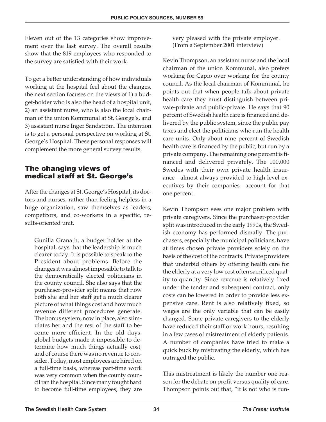Eleven out of the 13 categories show improvement over the last survey. The overall results show that the 819 employees who responded to the survey are satisfied with their work.

To get a better understanding of how individuals working at the hospital feel about the changes, the next section focuses on the views of 1) a budget-holder who is also the head of a hospital unit, 2) an assistant nurse, who is also the local chairman of the union Kommunal at St. George's, and 3) assistant nurse Inger Sandström. The intention is to get a personal perspective on working at St. George's Hospital. These personal responses will complement the more general survey results.

#### **The changing views of medical staff at St. George's**

After the changes at St. George's Hospital, its doctors and nurses, rather than feeling helpless in a huge organization, saw themselves as leaders, competitors, and co-workers in a specific, results-oriented unit.

Gunilla Granath, a budget holder at the hospital, says that the leadership is much clearer today. It is possible to speak to the President about problems. Before the changes it was almost impossible to talk to the democratically elected politicians in the county council. She also says that the purchaser-provider split means that now both she and her staff get a much clearer picture of what things cost and how much revenue different procedures generate. The bonus system, now in place, also stimulates her and the rest of the staff to become more efficient. In the old days, global budgets made it impossible to determine how much things actually cost, and of course there was no revenue to consider. Today, most employees are hired on a full-time basis, whereas part-time work was very common when the county council ran the hospital. Since many fought hard to become full-time employees, they are

very pleased with the private employer. (From a September 2001 interview)

Kevin Thompson, an assistant nurse and the local chairman of the union Kommunal, also prefers working for Capio over working for the county council. As the local chairman of Kommunal, he points out that when people talk about private health care they must distinguish between private-private and public-private. He says that 90 percent of Swedish health care is financed and delivered by the public system, since the public pay taxes and elect the politicians who run the health care units. Only about nine percent of Swedish health care is financed by the public, but run by a private company. The remaining one percent is financed and delivered privately. The 100,000 Swedes with their own private health insurance—almost always provided to high-level executives by their companies—account for that one percent.

Kevin Thompson sees one major problem with private caregivers. Since the purchaser-provider split was introduced in the early 1990s, the Swedish economy has performed dismally. The purchasers, especially the municipal politicians, have at times chosen private providers solely on the basis of the cost of the contracts. Private providers that underbid others by offering health care for the elderly at a very low cost often sacrificed quality to quantity. Since revenue is relatively fixed under the tender and subsequent contract, only costs can be lowered in order to provide less expensive care. Rent is also relatively fixed, so wages are the only variable that can be easily changed. Some private caregivers to the elderly have reduced their staff or work hours, resulting in a few cases of mistreatment of elderly patients. A number of companies have tried to make a quick buck by mistreating the elderly, which has outraged the public.

This mistreatment is likely the number one reason for the debate on profit versus quality of care. Thompson points out that, "it is not who is run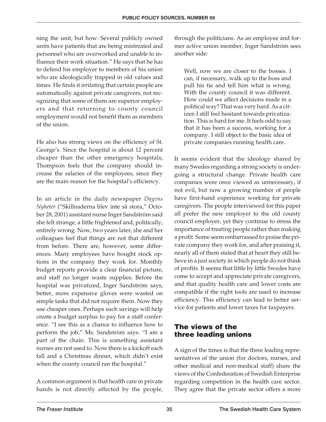ning the unit, but how. Several publicly owned units have patients that are being mistreated and personnel who are overworked and unable to influence their work situation." He says that he has to defend his employer to members of his union who are ideologically trapped in old values and times. He finds it irritating that certain people are automatically against private caregivers, not recognizing that some of them are superior employers and that returning to county council employment would not benefit them as members of the union.

He also has strong views on the efficiency of St. George's. Since the hospital is about 12 percent cheaper than the other emergency hospitals, Thompson feels that the company should increase the salaries of the employees, since they are the main reason for the hospital's efficiency.

In an article in the daily newspaper *Dagens Nyheter* ("Skillnaderna blev inte så stora," October 28, 2001) assistant nurse Inger Sandström said she felt strange, a little frightened and, politically, entirely wrong. Now, two years later, she and her colleagues feel that things are not that different from before. There are, however, some differences. Many employees have bought stock options in the company they work for. Monthly budget reports provide a clear financial picture, and staff no longer waste supplies. Before the hospital was privatized, Inger Sandström says, better, more expensive gloves were wasted on simple tasks that did not require them. Now they use cheaper ones. Perhaps such savings will help create a budget surplus to pay for a staff conference. "I see this as a chance to influence how to perform the job," Ms. Sandström says. "I am a part of the chain. This is something assistant nurses are not used to. Now there is a kickoff each fall and a Christmas dinner, which didn't exist when the county council ran the hospital."

A common argument is that health care in private hands is not directly affected by the people, through the politicians. As an employee and former active union member, Inger Sandström sees another side:

Well, now we are closer to the bosses. I can, if necessary, walk up to the boss and pull his tie and tell him what is wrong. With the county council it was different. How could we affect decisions made in a political way? That was very hard*.*As a citizen I still feel hesitant towards privatization. This is hard for me. It feels odd to say that it has been a success, working for a company. I still object to the basic idea of private companies running health care.

It seems evident that the ideology shared by many Swedes regarding a strong society is undergoing a structural change. Private health care companies were once viewed as unnecessary, if not evil, but now a growing number of people have first-hand experience working for private caregivers. The people interviewed for this paper all prefer the new employer to the old county council employer, yet they continue to stress the importance of treating people rather than making a profit. Some seem embarrassed to praise the private company they work for, and after praising it, nearly all of them stated that at heart they still believe in a just society in which people do not think of profits. It seems that little by little Swedes have come to accept and appreciate private caregivers, and that quality health care and lower costs are compatible if the right tools are used to increase efficiency. This efficiency can lead to better service for patients and lower taxes for taxpayers.

#### **The views of the three leading unions**

A sign of the times is that the three leading representatives of the union (for doctors, nurses, and other medical and non-medical staff) share the views of the Confederation of Swedish Enterprise regarding competition in the health care sector. They agree that the private sector offers a more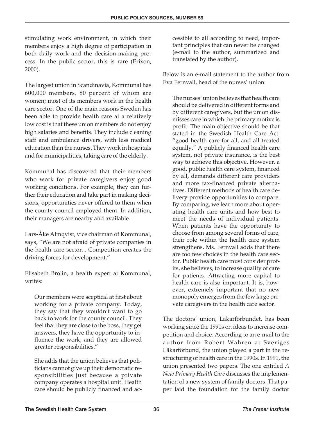stimulating work environment, in which their members enjoy a high degree of participation in both daily work and the decision-making process. In the public sector, this is rare (Erixon, 2000).

The largest union in Scandinavia, Kommunal has 600,000 members, 80 percent of whom are women; most of its members work in the health care sector. One of the main reasons Sweden has been able to provide health care at a relatively low cost is that these union members do not enjoy high salaries and benefits. They include cleaning staff and ambulance drivers, with less medical education than the nurses. They work in hospitals and for municipalities, taking care of the elderly.

Kommunal has discovered that their members who work for private caregivers enjoy good working conditions. For example, they can further their education and take part in making decisions, opportunities never offered to them when the county council employed them. In addition, their managers are nearby and available.

Lars-Åke Almqvist, vice chairman of Kommunal, says, "We are not afraid of private companies in the health care sector... Competition creates the driving forces for development."

Elisabeth Brolin, a health expert at Kommunal, writes:

Our members were sceptical at first about working for a private company. Today, they say that they wouldn't want to go back to work for the county council. They feel that they are close to the boss, they get answers, they have the opportunity to influence the work, and they are allowed greater responsibilities."

She adds that the union believes that politicians cannot give up their democratic responsibilities just because a private company operates a hospital unit. Health care should be publicly financed and accessible to all according to need, important principles that can never be changed (e-mail to the author, summarized and translated by the author).

Below is an e-mail statement to the author from Eva Fernvall, head of the nurses' union:

The nurses' union believes that health care should be delivered in different forms and by different caregivers, but the union dismisses care in which the primary motive is profit. The main objective should be that stated in the Swedish Health Care Act: "good health care for all, and all treated equally." A publicly financed health care system, not private insurance, is the best way to achieve this objective. However, a good, public health care system, financed by all, demands different care providers and more tax-financed private alternatives. Different methods of health care delivery provide opportunities to compare. By comparing, we learn more about operating health care units and how best to meet the needs of individual patients. When patients have the opportunity to choose from among several forms of care, their role within the health care system strengthens. Ms. Fernvall adds that there are too few choices in the health care sector. Public health care must consider profits, she believes, to increase quality of care for patients. Attracting more capital to health care is also important. It is, however, extremely important that no new monopoly emerges from the few large private caregivers in the health care sector.

The doctors' union, Läkarförbundet, has been working since the 1990s on ideas to increase competition and choice. According to an e-mail to the author from Robert Wahren at Sveriges Läkarförbund, the union played a part in the restructuring of health care in the 1990s. In 1991, the union presented two papers. The one entitled *A New Primary Health Care* discusses the implementation of a new system of family doctors. That paper laid the foundation for the family doctor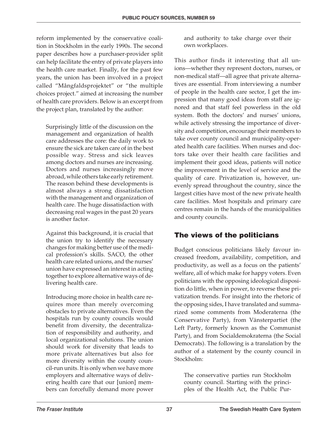reform implemented by the conservative coalition in Stockholm in the early 1990s. The second paper describes how a purchaser-provider split can help facilitate the entry of private players into the health care market. Finally, for the past few years, the union has been involved in a project called "Mångfaldsprojektet" or "the multiple choices project." aimed at increasing the number of health care providers. Below is an excerpt from the project plan, translated by the author:

Surprisingly little of the discussion on the management and organization of health care addresses the core: the daily work to ensure the sick are taken care of in the best possible way. Stress and sick leaves among doctors and nurses are increasing. Doctors and nurses increasingly move abroad, while others take early retirement. The reason behind these developments is almost always a strong dissatisfaction with the management and organization of health care. The huge dissatisfaction with decreasing real wages in the past 20 years is another factor.

Against this background, it is crucial that the union try to identify the necessary changes for making better use of the medical profession's skills. SACO, the other health care related unions, and the nurses' union have expressed an interest in acting together to explore alternative ways of delivering health care.

Introducing more choice in health care requires more than merely overcoming obstacles to private alternatives. Even the hospitals run by county councils would benefit from diversity, the decentralization of responsibility and authority, and local organizational solutions. The union should work for diversity that leads to more private alternatives but also for more diversity within the county council-run units. It is only when we have more employers and alternative ways of delivering health care that our [union] members can forcefully demand more power

and authority to take charge over their own workplaces.

This author finds it interesting that all unions—whether they represent doctors, nurses, or non-medical staff—all agree that private alternatives are essential. From interviewing a number of people in the health care sector, I get the impression that many good ideas from staff are ignored and that staff feel powerless in the old system. Both the doctors' and nurses' unions, while actively stressing the importance of diversity and competition, encourage their members to take over county council and municipality-operated health care facilities. When nurses and doctors take over their health care facilities and implement their good ideas, patients will notice the improvement in the level of service and the quality of care. Privatization is, however, unevenly spread throughout the country, since the largest cities have most of the new private health care facilities. Most hospitals and primary care centres remain in the hands of the municipalities and county councils.

#### **The views of the politicians**

Budget conscious politicians likely favour increased freedom, availability, competition, and productivity, as well as a focus on the patients' welfare, all of which make for happy voters. Even politicians with the opposing ideological disposition do little, when in power, to reverse these privatization trends. For insight into the rhetoric of the opposing sides, I have translated and summarized some comments from Moderaterna (the Conservative Party), from Vänsterpartiet (the Left Party, formerly known as the Communist Party), and from Socialdemokraterna (the Social Democrats). The following is a translation by the author of a statement by the county council in Stockholm:

The conservative parties run Stockholm county council. Starting with the principles of the Health Act, the Public Pur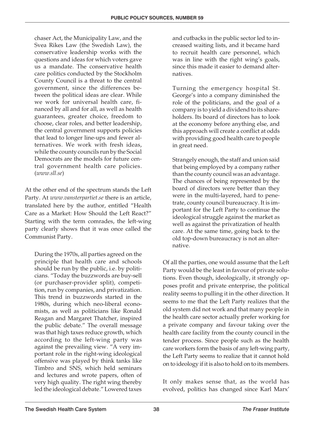chaser Act, the Municipality Law, and the Svea Rikes Law (the Swedish Law), the conservative leadership works with the questions and ideas for which voters gave us a mandate. The conservative health care politics conducted by the Stockholm County Council is a threat to the central government, since the differences between the political ideas are clear. While we work for universal health care, financed by all and for all, as well as health guarantees, greater choice, freedom to choose, clear roles, and better leadership, the central government supports policies that lead to longer line-ups and fewer alternatives. We work with fresh ideas, while the county councils run by the Social Democrats are the models for future central government health care policies. (*www.sll.se*)

At the other end of the spectrum stands the Left Party. At *www.vansterpartiet.se* there is an article, translated here by the author, entitled "Health Care as a Market: How Should the Left React?" Starting with the term comrades, the left-wing party clearly shows that it was once called the Communist Party.

During the 1970s, all parties agreed on the principle that health care and schools should be run by the public, i.e. by politicians. "Today the buzzwords are buy-sell (or purchaser-provider split), competition, run by companies, and privatization. This trend in buzzwords started in the 1980s, during which neo-liberal economists, as well as politicians like Ronald Reagan and Margaret Thatcher, inspired the public debate." The overall message was that high taxes reduce growth, which according to the left-wing party was against the prevailing view. "A very important role in the right-wing ideological offensive was played by think tanks like Timbro and SNS, which held seminars and lectures and wrote papers, often of very high quality. The right wing thereby led the ideological debate." Lowered taxes

and cutbacks in the public sector led to increased waiting lists, and it became hard to recruit health care personnel, which was in line with the right wing's goals, since this made it easier to demand alternatives.

Turning the emergency hospital St. George's into a company diminished the role of the politicians, and the goal of a company is to yield a dividend to its shareholders. Its board of directors has to look at the economy before anything else, and this approach will create a conflict at odds with providing good health care to people in great need.

Strangely enough, the staff and union said that being employed by a company rather than the county council was an advantage. The chances of being represented by the board of directors were better than they were in the multi-layered, hard to penetrate, county council bureaucracy. It is important for the Left Party to continue the ideological struggle against the market as well as against the privatization of health care. At the same time, going back to the old top-down bureaucracy is not an alternative.

Of all the parties, one would assume that the Left Party would be the least in favour of private solutions. Even though, ideologically, it strongly opposes profit and private enterprise, the political reality seems to pulling it in the other direction. It seems to me that the Left Party realizes that the old system did not work and that many people in the health care sector actually prefer working for a private company and favour taking over the health care facility from the county council in the tender process. Since people such as the health care workers form the basis of any left-wing party, the Left Party seems to realize that it cannot hold on to ideology if it is also to hold on to its members.

It only makes sense that, as the world has evolved, politics has changed since Karl Marx'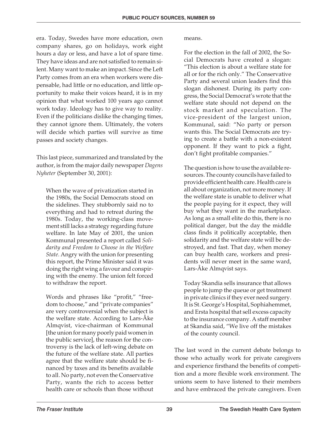era. Today, Swedes have more education, own company shares, go on holidays, work eight hours a day or less, and have a lot of spare time. They have ideas and are not satisfied to remain silent. Many want to make an impact. Since the Left Party comes from an era when workers were dispensable, had little or no education, and little opportunity to make their voices heard, it is in my opinion that what worked 100 years ago cannot work today. Ideology has to give way to reality. Even if the politicians dislike the changing times, they cannot ignore them. Ultimately, the voters will decide which parties will survive as time passes and society changes.

This last piece, summarized and translated by the author, is from the major daily newspaper *Dagens Nyheter* (September 30, 2001):

When the wave of privatization started in the 1980s, the Social Democrats stood on the sidelines. They stubbornly said no to everything and had to retreat during the 1980s. Today, the working-class movement still lacks a strategy regarding future welfare. In late May of 2001, the union Kommunal presented a report called *Solidarity and Freedom to Choose in the Welfare State.* Angry with the union for presenting this report, the Prime Minister said it was doing the right wing a favour and conspiring with the enemy. The union felt forced to withdraw the report.

Words and phrases like "profit," "freedom to choose," and "private companies" are very controversial when the subject is the welfare state. According to Lars-Åke Almqvist, vice-chairman of Kommunal [the union for many poorly paid women in the public service], the reason for the controversy is the lack of left-wing debate on the future of the welfare state. All parties agree that the welfare state should be financed by taxes and its benefits available to all. No party, not even the Conservative Party, wants the rich to access better health care or schools than those without

means.

For the election in the fall of 2002, the Social Democrats have created a slogan: "This election is about a welfare state for all or for the rich only." The Conservative Party and several union leaders find this slogan dishonest. During its party congress, the Social Democrat's wrote that the welfare state should not depend on the stock market and speculation. The vice-president of the largest union, Kommunal, said: "No party or person wants this. The Social Democrats are trying to create a battle with a non-existent opponent. If they want to pick a fight, don't fight profitable companies."

The question is how to use the available resources. The county councils have failed to provide efficient health care. Health care is all about organization, not more money. If the welfare state is unable to deliver what the people paying for it expect, they will buy what they want in the marketplace. As long as a small elite do this, there is no political danger, but the day the middle class finds it politically acceptable, then solidarity and the welfare state will be destroyed, and fast. That day, when money can buy health care, workers and presidents will never meet in the same ward, Lars-Åke Almqvist says.

Today Skandia sells insurance that allows people to jump the queue or get treatment in private clinics if they ever need surgery. It is St. George's Hospital, Sophiahemmet, and Ersta hospital that sell excess capacity to the insurance company. A staff member at Skandia said, "We live off the mistakes of the county council.

The last word in the current debate belongs to those who actually work for private caregivers and experience firsthand the benefits of competition and a more flexible work environment. The unions seem to have listened to their members and have embraced the private caregivers. Even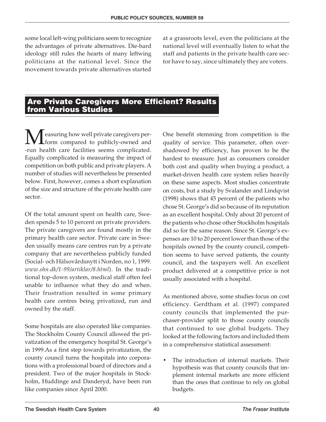some local left-wing politicians seem to recognize the advantages of private alternatives. Die-hard ideology still rules the hearts of many leftwing politicians at the national level. Since the movement towards private alternatives started

at a grassroots level, even the politicians at the national level will eventually listen to what the staff and patients in the private health care sector have to say, since ultimately they are voters.

#### **Are Private Caregivers More Efficient? Results from Various Studies**

Measuring how well private caregivers per-<br>form compared to publicly-owned and<br>run boalth care facilities seems complicated form compared to publicly-owned and -run health care facilities seems complicated. Equally complicated is measuring the impact of competition on both public and private players. A number of studies will nevertheless be presented below. First, however, comes a short explanation of the size and structure of the private health care sector.

Of the total amount spent on health care, Sweden spends 5 to 10 percent on private providers. The private caregivers are found mostly in the primary health care sector. Private care in Sweden usually means care centres run by a private company that are nevertheless publicly funded (Social- och Hälsovårdsnytt i Norden, no 1, 1999. *www.shn.dk/1-99/artiklar/8.html*). In the traditional top-down system, medical staff often feel unable to influence what they do and when. Their frustration resulted in some primary health care centres being privatized, run and owned by the staff.

Some hospitals are also operated like companies. The Stockholm County Council allowed the privatization of the emergency hospital St. George's in 1999.As a first step towards privatization, the county council turns the hospitals into corporations with a professional board of directors and a president. Two of the major hospitals in Stockholm, Huddinge and Danderyd, have been run like companies since April 2000.

One benefit stemming from competition is the quality of service. This parameter, often overshadowed by efficiency, has proven to be the hardest to measure. Just as consumers consider both cost and quality when buying a product, a market-driven health care system relies heavily on these same aspects. Most studies concentrate on costs, but a study by Svalander and Lindqvist (1998) shows that 45 percent of the patients who chose St. George's did so because of its reputation as an excellent hospital. Only about 20 percent of the patients who chose other Stockholm hospitals did so for the same reason. Since St. George's expenses are 10 to 20 percent lower than those of the hospitals owned by the county council, competition seems to have served patients, the county council, and the taxpayers well. An excellent product delivered at a competitive price is not usually associated with a hospital.

As mentioned above, some studies focus on cost efficiency. Gerdtham et al*.* (1997) compared county councils that implemented the purchaser-provider split to those county councils that continued to use global budgets. They looked at the following factors and included them in a comprehensive statistical assessment:

• The introduction of internal markets. Their hypothesis was that county councils that implement internal markets are more efficient than the ones that continue to rely on global budgets.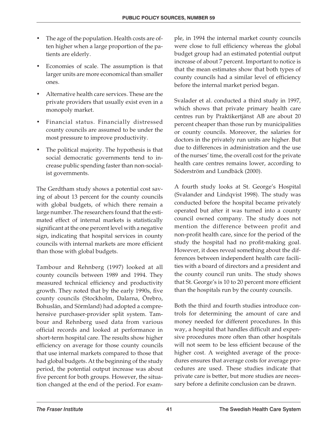- The age of the population. Health costs are often higher when a large proportion of the patients are elderly.
- Economies of scale. The assumption is that larger units are more economical than smaller ones.
- Alternative health care services. These are the private providers that usually exist even in a monopoly market.
- Financial status. Financially distressed county councils are assumed to be under the most pressure to improve productivity.
- The political majority. The hypothesis is that social democratic governments tend to increase public spending faster than non-socialist governments.

The Gerdtham study shows a potential cost saving of about 13 percent for the county councils with global budgets, of which there remain a large number. The researchers found that the estimated effect of internal markets is statistically significant at the one percent level with a negative sign, indicating that hospital services in county councils with internal markets are more efficient than those with global budgets.

Tambour and Rehnberg (1997) looked at all county councils between 1989 and 1994. They measured technical efficiency and productivity growth. They noted that by the early 1990s, five county councils (Stockholm, Dalarna, Örebro, Bohuslän, and Sörmland) had adopted a comprehensive purchaser-provider split system. Tambour and Rehnberg used data from various official records and looked at performance in short-term hospital care. The results show higher efficiency on average for those county councils that use internal markets compared to those that had global budgets. At the beginning of the study period, the potential output increase was about five percent for both groups. However, the situation changed at the end of the period. For example, in 1994 the internal market county councils were close to full efficiency whereas the global budget group had an estimated potential output increase of about 7 percent. Important to notice is that the mean estimates show that both types of county councils had a similar level of efficiency before the internal market period began.

Svalader et al. conducted a third study in 1997, which shows that private primary health care centres run by Praktikertjänst AB are about 20 percent cheaper than those run by municipalities or county councils. Moreover, the salaries for doctors in the privately run units are higher. But due to differences in administration and the use of the nurses' time, the overall cost for the private health care centres remains lower, according to Söderström and Lundbäck (2000).

A fourth study looks at St. George's Hospital (Svalander and Lindqvist 1998). The study was conducted before the hospital became privately operated but after it was turned into a county council owned company. The study does not mention the difference between profit and non-profit health care, since for the period of the study the hospital had no profit-making goal. However, it does reveal something about the differences between independent health care facilities with a board of directors and a president and the county council run units. The study shows that St. George's is 10 to 20 percent more efficient than the hospitals run by the county councils.

Both the third and fourth studies introduce controls for determining the amount of care and money needed for different procedures. In this way, a hospital that handles difficult and expensive procedures more often than other hospitals will not seem to be less efficient because of the higher cost. A weighted average of the procedures ensures that average costs for average procedures are used. These studies indicate that private care is better, but more studies are necessary before a definite conclusion can be drawn.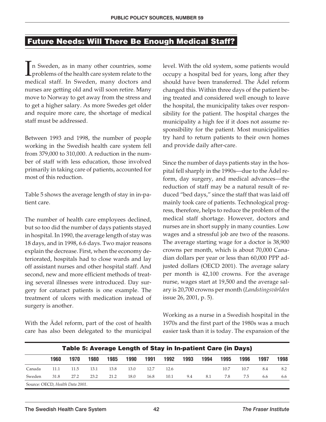#### **Future Needs: Will There Be Enough Medical Staff?**

 $\prod_{m\infty}$ n Sweden, as in many other countries, some problems of the health care system relate to the medical staff. In Sweden, many doctors and nurses are getting old and will soon retire. Many move to Norway to get away from the stress and to get a higher salary. As more Swedes get older and require more care, the shortage of medical staff must be addressed.

Between 1993 and 1998, the number of people working in the Swedish health care system fell from 379,000 to 310,000. A reduction in the number of staff with less education, those involved primarily in taking care of patients, accounted for most of this reduction.

Table 5 shows the average length of stay in in-patient care.

The number of health care employees declined, but so too did the number of days patients stayed in hospital. In 1990, the average length of stay was 18 days, and in 1998, 6.6 days. Two major reasons explain the decrease. First, when the economy deteriorated, hospitals had to close wards and lay off assistant nurses and other hospital staff. And second, new and more efficient methods of treating several illnesses were introduced. Day surgery for cataract patients is one example. The treatment of ulcers with medication instead of surgery is another.

With the Ädel reform, part of the cost of health care has also been delegated to the municipal level. With the old system, some patients would occupy a hospital bed for years, long after they should have been transferred. The Ädel reform changed this. Within three days of the patient being treated and considered well enough to leave the hospital, the municipality takes over responsibility for the patient. The hospital charges the municipality a high fee if it does not assume responsibility for the patient. Most municipalities try hard to return patients to their own homes and provide daily after-care.

Since the number of days patients stay in the hospital fell sharply in the 1990s—due to the Ädel reform, day surgery, and medical advances—the reduction of staff may be a natural result of reduced "bed days," since the staff that was laid off mainly took care of patients. Technological progress, therefore, helps to reduce the problem of the medical staff shortage. However, doctors and nurses are in short supply in many counties. Low wages and a stressful job are two of the reasons. The average starting wage for a doctor is 38,900 crowns per month, which is about 70,000 Canadian dollars per year or less than 60,000 PPP adjusted dollars (OECD 2001). The average salary per month is 42,100 crowns. For the average nurse, wages start at 19,500 and the average salary is 20,700 crowns per month (*Landstingsvärlden* issue 26, 2001, p. 5).

Working as a nurse in a Swedish hospital in the 1970s and the first part of the 1980s was a much easier task than it is today. The expansion of the

| Table 5: Average Length of Stay in In-patient Care (in Days) |      |      |      |      |      |      |      |      |      |      |      |      |      |
|--------------------------------------------------------------|------|------|------|------|------|------|------|------|------|------|------|------|------|
|                                                              | 1960 | 1970 | 1980 | 1985 | 1990 | 1991 | 1992 | 1993 | 1994 | 1995 | 1996 | 1997 | 1998 |
| Canada                                                       | 11.1 | 11.5 | 13.1 | 13.8 | 13.0 | 12.7 | 12.6 |      |      | 10.7 | 10.7 | 8.4  | 8.2  |
| Sweden                                                       | 31.8 | 27.2 | 23.2 | 21.2 | 18.0 | 16.8 | 10.1 | 9.4  | 8.1  | 7.8  | 75   | 6.6  | 6.6  |
| Source: OECD, Health Data 2001.                              |      |      |      |      |      |      |      |      |      |      |      |      |      |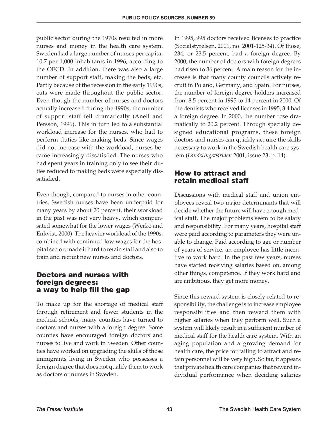public sector during the 1970s resulted in more nurses and money in the health care system. Sweden had a large number of nurses per capita, 10.7 per 1,000 inhabitants in 1996, according to the OECD. In addition, there was also a large number of support staff, making the beds, etc. Partly because of the recession in the early 1990s, cuts were made throughout the public sector. Even though the number of nurses and doctors actually increased during the 1990s, the number of support staff fell dramatically (Anell and Persson, 1996). This in turn led to a substantial workload increase for the nurses, who had to perform duties like making beds. Since wages did not increase with the workload, nurses became increasingly dissatisfied. The nurses who had spent years in training only to see their duties reduced to making beds were especially dissatisfied.

Even though, compared to nurses in other countries, Swedish nurses have been underpaid for many years by about 20 percent, their workload in the past was not very heavy, which compensated somewhat for the lower wages (Werkö and Enkvist, 2000). The heavier workload of the 1990s, combined with continued low wages for the hospital sector, made it hard to retain staff and also to train and recruit new nurses and doctors.

#### **Doctors and nurses with foreign degrees: a way to help fill the gap**

To make up for the shortage of medical staff through retirement and fewer students in the medical schools, many counties have turned to doctors and nurses with a foreign degree. Some counties have encouraged foreign doctors and nurses to live and work in Sweden. Other counties have worked on upgrading the skills of those immigrants living in Sweden who possesses a foreign degree that does not qualify them to work as doctors or nurses in Sweden.

In 1995, 995 doctors received licenses to practice (Socialstyrelsen, 2001, no. 2001-125-34). Of those, 234, or 23.5 percent, had a foreign degree. By 2000, the number of doctors with foreign degrees had risen to 36 percent. A main reason for the increase is that many county councils actively recruit in Poland, Germany, and Spain. For nurses, the number of foreign degree holders increased from 8.5 percent in 1995 to 14 percent in 2000. Of the dentists who received licenses in 1995, 3.4 had a foreign degree. In 2000, the number rose dramatically to 20.2 percent. Through specially designed educational programs, these foreign doctors and nurses can quickly acquire the skills necessary to work in the Swedish health care system (*Landstingsvärlden* 2001, issue 23, p. 14).

#### **How to attract and retain medical staff**

Discussions with medical staff and union employees reveal two major determinants that will decide whether the future will have enough medical staff. The major problems seem to be salary and responsibility. For many years, hospital staff were paid according to parameters they were unable to change. Paid according to age or number of years of service, an employee has little incentive to work hard. In the past few years, nurses have started receiving salaries based on, among other things, competence. If they work hard and are ambitious, they get more money.

Since this reward system is closely related to responsibility, the challenge is to increase employee responsibilities and then reward them with higher salaries when they perform well. Such a system will likely result in a sufficient number of medical staff for the health care system. With an aging population and a growing demand for health care, the price for failing to attract and retain personnel will be very high. So far, it appears that private health care companies that reward individual performance when deciding salaries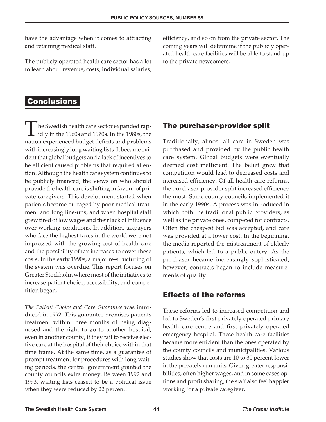have the advantage when it comes to attracting and retaining medical staff.

The publicly operated health care sector has a lot to learn about revenue, costs, individual salaries, efficiency, and so on from the private sector. The coming years will determine if the publicly operated health care facilities will be able to stand up to the private newcomers.

#### **Conclusions**

<sup>t</sup>he Swedish health care sector expanded rapidly in the 1960s and 1970s. In the 1980s, the nation experienced budget deficits and problems with increasingly long waiting lists. It became evident that global budgets and a lack of incentives to be efficient caused problems that required attention. Although the health care system continues to be publicly financed, the views on who should provide the health care is shifting in favour of private caregivers. This development started when patients became outraged by poor medical treatment and long line-ups, and when hospital staff grew tired of low wages and their lack of influence over working conditions. In addition, taxpayers who face the highest taxes in the world were not impressed with the growing cost of health care and the possibility of tax increases to cover these costs. In the early 1990s, a major re-structuring of the system was overdue. This report focuses on Greater Stockholm where most of the initiatives to increase patient choice, accessibility, and competition began.

*The Patient Choice and Care Guarantee* was introduced in 1992. This guarantee promises patients treatment within three months of being diagnosed and the right to go to another hospital, even in another county, if they fail to receive elective care at the hospital of their choice within that time frame. At the same time, as a guarantee of prompt treatment for procedures with long waiting periods, the central government granted the county councils extra money. Between 1992 and 1993, waiting lists ceased to be a political issue when they were reduced by 22 percent.

#### **The purchaser-provider split**

Traditionally, almost all care in Sweden was purchased and provided by the public health care system. Global budgets were eventually deemed cost inefficient. The belief grew that competition would lead to decreased costs and increased efficiency. Of all health care reforms, the purchaser-provider split increased efficiency the most. Some county councils implemented it in the early 1990s. A process was introduced in which both the traditional public providers, as well as the private ones, competed for contracts. Often the cheapest bid was accepted, and care was provided at a lower cost. In the beginning, the media reported the mistreatment of elderly patients, which led to a public outcry. As the purchaser became increasingly sophisticated, however, contracts began to include measurements of quality.

#### **Effects of the reforms**

These reforms led to increased competition and led to Sweden's first privately operated primary health care centre and first privately operated emergency hospital. These health care facilities became more efficient than the ones operated by the county councils and municipalities. Various studies show that costs are 10 to 30 percent lower in the privately run units. Given greater responsibilities, often higher wages, and in some cases options and profit sharing, the staff also feel happier working for a private caregiver.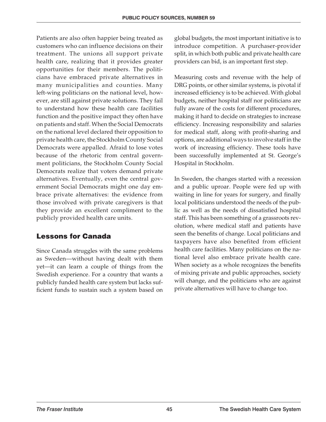Patients are also often happier being treated as customers who can influence decisions on their treatment. The unions all support private health care, realizing that it provides greater opportunities for their members. The politicians have embraced private alternatives in many municipalities and counties. Many left-wing politicians on the national level, however, are still against private solutions. They fail to understand how these health care facilities function and the positive impact they often have on patients and staff. When the Social Democrats on the national level declared their opposition to private health care, the Stockholm County Social Democrats were appalled. Afraid to lose votes because of the rhetoric from central government politicians, the Stockholm County Social Democrats realize that voters demand private alternatives. Eventually, even the central government Social Democrats might one day embrace private alternatives: the evidence from those involved with private caregivers is that they provide an excellent compliment to the publicly provided health care units.

#### **Lessons for Canada**

Since Canada struggles with the same problems as Sweden—without having dealt with them yet—it can learn a couple of things from the Swedish experience. For a country that wants a publicly funded health care system but lacks sufficient funds to sustain such a system based on global budgets, the most important initiative is to introduce competition. A purchaser-provider split, in which both public and private health care providers can bid, is an important first step.

Measuring costs and revenue with the help of DRG points, or other similar systems, is pivotal if increased efficiency is to be achieved. With global budgets, neither hospital staff nor politicians are fully aware of the costs for different procedures, making it hard to decide on strategies to increase efficiency. Increasing responsibility and salaries for medical staff, along with profit-sharing and options, are additional ways to involve staff in the work of increasing efficiency. These tools have been successfully implemented at St. George's Hospital in Stockholm.

In Sweden, the changes started with a recession and a public uproar. People were fed up with waiting in line for years for surgery, and finally local politicians understood the needs of the public as well as the needs of dissatisfied hospital staff. This has been something of a grassroots revolution, where medical staff and patients have seen the benefits of change. Local politicians and taxpayers have also benefited from efficient health care facilities. Many politicians on the national level also embrace private health care. When society as a whole recognizes the benefits of mixing private and public approaches, society will change, and the politicians who are against private alternatives will have to change too.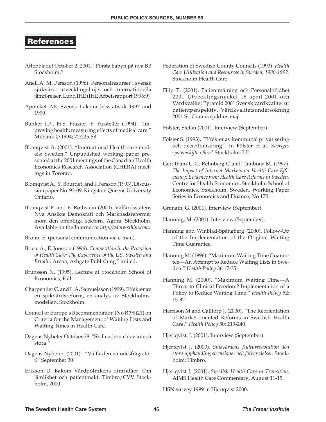#### **References**

- Aftonbladet October 2, 2001. "Första babyn på nya BB Stockholm."
- Anell A, M. Persson (1996). Personalresurser i svensk sjukvård: utvecklingslinjer och internationella jämförelser. Lund IHE (IHE Arbetsrapport 1996:9)
- Apoteket AB, Svensk Läkemedelsstatistik 1997 and 1999.
- Bunker J.P., H.S. Frazier, F. Hosteller (1994). "Improving health: measuring effects of medical care." Milbank Q 1994; 72:225-58.
- Blomqvist A. (2001). "International Health care models: Sweden." Unpublished working paper presented at the 2001 meetings of the Canadian Health Economics Research Association (CHERA) meetings in Toronto.
- Blomqvist A., Y. Bourdet, and I. Persson (1993). Discussion paper No. 93-09. Kingston: Queens University Ontario.
- Blomqvist P. and B. Rothstein (2000). Välfärdsstatens Nya Ansikte Demokrati och Marknadsreformer inom den offentliga sektorn. Agora, Stockholm. Available on the Internet at *http://adore-sthlm.com.*
- Brolin, E. (personal communication via e-mail).
- Bruce A., E. Jonsson (1996). *Competition in the Provision of Health Care: The Experience of the US, Sweden and Britain.* Arena, Ashgate Publishing Limited.
- Brunsson N. (1995). Lecture at Stockholm School of Economics, Fall.
- Charpentier C. and L.A. Samuelsson (1999). Effekter av en sjukvårdsreform, en analys av Stockholmsmodellen, Stockholm.
- Council of Europe's Recommendation (No R(99)21) on Criteria for the Management of Waiting Lists and Waiting Times in Health Care.
- Dagens Nyheter October 28. "Skillnaderna blev inte så stora."
- Dagens Nyheter. (2001). "Välfärden en ödesfråga för S" September 30.
- Erixson D. Bakom Vårdpolitikens dimridåer. Om jämlikhet och patientmakt. Timbro/CVV Stockholm, 2000.
- Federation of Swedish County Councils (1993). *Health Care Utilization and Resources in Sweden, 1980-1992*. Stockholm Health Care.
- Filip T. (2001). Patientmätning och Personalnöjdhet 2001 Utvecklingsnyckel 18 april 2001 och Vårdkvalitet Pyramid 2001 Svensk vårdkvalitet ur patientperspektiv. Vårdkvalitetsundersökning 2001 St. Görans sjukhus maj.

Fölster, Stefan (2001). Interview (September).

- Fölster S. (1993). "Effekter av kommunal privatisering och decentralisering". In Fölster et al. *Sveriges systemskifte i fara?* Stockholm:IUI
- Gerdtham U-G, Rehnberg C and Tambour M. (1997). *The Impact of Internal Markets on Health Care Efficiency: Evidence from Health Care Reforms in Sweden.* Centre for Health Economics, Stockholm School of Economics, Stockholm, Sweden. Working Paper Series in Economics and Finance, No 170.

Granath, G. (2001). Interview (September).

- Hanning, M. (2001). Interview (September).
- Hanning and Winblad-Spångberg (2000). Follow-Up of the Implementation of the Original Waiting Time Guarantee.
- Hanning M. (1996). "Maximum Waiting Time Guarantee—An Attempt to Reduce Waiting Lists in Sweden." *Health Policy* 36:17-35.
- Hanning M. (2000). "Maximum Waiting Time—A Threat to Clinical Freedom? Implementation of a Policy to Reduce Waiting Time." *Health Policy* 52: 15-32.
- Harrison M and Calltorp J. (2000). "The Reorientation of Market-oriented Reforms in Swedish Health Care." *Health Policy* 50: 219-240.
- Hjertqvist, J. (2001). Interview (September).
- Hjertqvist J. (2000). *Sjukvårdens Kulturrevolution den stora upphandlingen visioner och förberedelser.* Stockholm: Timbro.
- Hjertqvist J. (2001). *Swedish Health Care in Transition.* AIMS Health Care Commentary, August 11-15.

HSN survey 1999 in Hjertqvist 2000.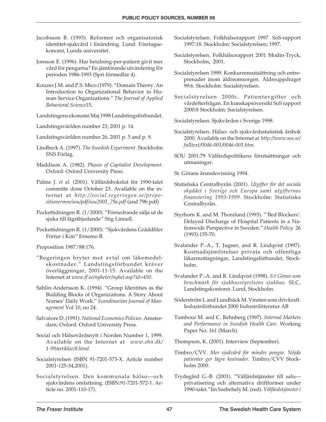- Jacobsson B. (1993). Reformer och organisatorisk identitet-sjukvård i förändring. Lund: Företagsekonomi, Lunds universitet.
- Jonsson E. (1996). Har betalning-per-patient givit mer vård för pengarna? En jämförande utvärdering för perioden 1986-1993 (Spri förmedlar 4).
- Kouzes J.M. and P.S. Mico (1979). "Domain Theory. An Introduction to Organizational Behavior in Human Service Organizations." *The Journal of Applied Behavioral Science*15**.**
- Landstingens ekonomi Maj 1998 Landstingsförbundet.
- Landstingsvärlden number 23, 2001 p. 14.
- Landstingsvärlden number 26, 2001 p. 5 and p. 9.
- Lindbeck A. (1997). *The Swedish Experiment.* Stockholm SNS Förlag.
- Maddison A. (1982). *Phases of Capitalist Development.* Oxford: Oxford University Press.
- Palme J. *et al.* (2001). Välfärdsbokslut för 1990-talet committe done October 23. Available on the internet at *http://social.regeringen.se/propositionermm/sou/pdf/sou2001\_79a.pdf* (and 79b.pdf)
- Pockettidningen R. (1/2000). "Förnedrande sälja ut de sjuka till lägstbjudande" Stig Linnell.
- Pockettidningen R. (1/2000). "Sjukvårdens Gräddfiler Förtur i Kön" Ernemo B.

Proposition 1987/88:176.

- "Regeringen bryter mot avtal om läkemedelskostnader." Landstingsförbundet kräver överläggningar, 2001-11-15. Available on the Internet at *www.lf.se/nyheter/nyhet.asp?id=450*.
- Sahlin-Andersson K. (1994). "Group Identities as the Building Blocks of Organizations. A Story About Nurses' Daily Work." *Scandinavian Journal of Management* Vol 10, no 24.
- Salvatore D. (1991).*National Economics Policies*. Amsterdam; Oxford: Oxford University Press.
- Social och Hälsovårdsnytt i Norden Number 1, 1999. Available on the Internet at *www.shn.dk/ 1-99/artiklar/8.html.*
- Socialstyrelsen (ISBN 91-7201-573-X. Article number 2001-125-34,2001).
- Socialstyrelsen. Den kommunala hälso—och sjukvårdens omfattning. (ISBN:91-7201-572-1. Article no. 2001-110-17).
- Socialstyrelsen. Folkhälsorapport 1997. SoS-rapport 1997:18. Stockholm: Socialstyrelsen; 1997.
- Socialstyrelsen. Folkhälsorapport 2001 Modin-Tryck, Stockholm, 2001.
- Socialstyrelsen 1999. Konkurrensutsättning och entreprenader inom äldreomsorgen. Äldreuppdraget 99:6. Stockholm: Socialstyrelsen.
- Socialstyrelsen 2000c. Patientavgifter och vårdefterfrågan. En kunskapsöversikt SoS rapport 2000:8 Stockholm: Socialstyrelsen.

Socialstyrelsen. Sjukvården i Sverige 1998.

- Socialstyrelsen. Hälso- och sjukvårdsstatistisk årsbok 2000. Available on the Internet at *http://www.sos.se/ fulltext/0046-001/0046-001.htm.*
- SOU 2001:79 Välfärdspolitikens förutsättningar och utmaningar.

St. Görans årsredovisning 1994.

- Statistiska Centralbyrån (2001). *Utgifter för det sociala skyddet i Sverige och Europa samt utgifternas finansiering 1993-1999.* Stockholm: Statistiska Centralbyrån.
- Styrborn K. and M. Thorslund (1993). "'Bed Blockers': Delayed Discharge of Hospital Patients in a Nationwide Perspective in Sweden." *Health Policy* 26 (1993):155-70.
- Svalander P.-A., T. Jugner, and R. Lindqvist (1997). Kostnadsjämförelser privata och offentliga läkarmottagningar, Landstingsförbundet, Stockholm.
- Svalander P.-A. and R. Lindqvist (1998). *S:t Göran som benchmark för sjukhusstyrelsens sjukhus.* SLC, Landstingskontoret. Lund, Stockholm.
- Söderström L and Lundbäck M. Vinsten som drivkraft. Industriförbundet 2000 Industrilitteratur AB
- Tambour M. and C. Rehnberg (1997). *Internal Markets and Performance in Swedish Health Care*. Working Paper No. 161 (March).

Thompson, K. (2001). Interview (September).

- Timbro/CVV. *Mer sjukvård för mindre pengar. Nöjda patienter ger lägre kostnader*. Timbro/CVV Stockholm 2000.
- Trydegård G.-B. (2001). "Välfärdstjänster till salu privatisering och alternativa driftformer under 1990-talet."Iin Szebehely M. (red). *Välfärdstjänster i*